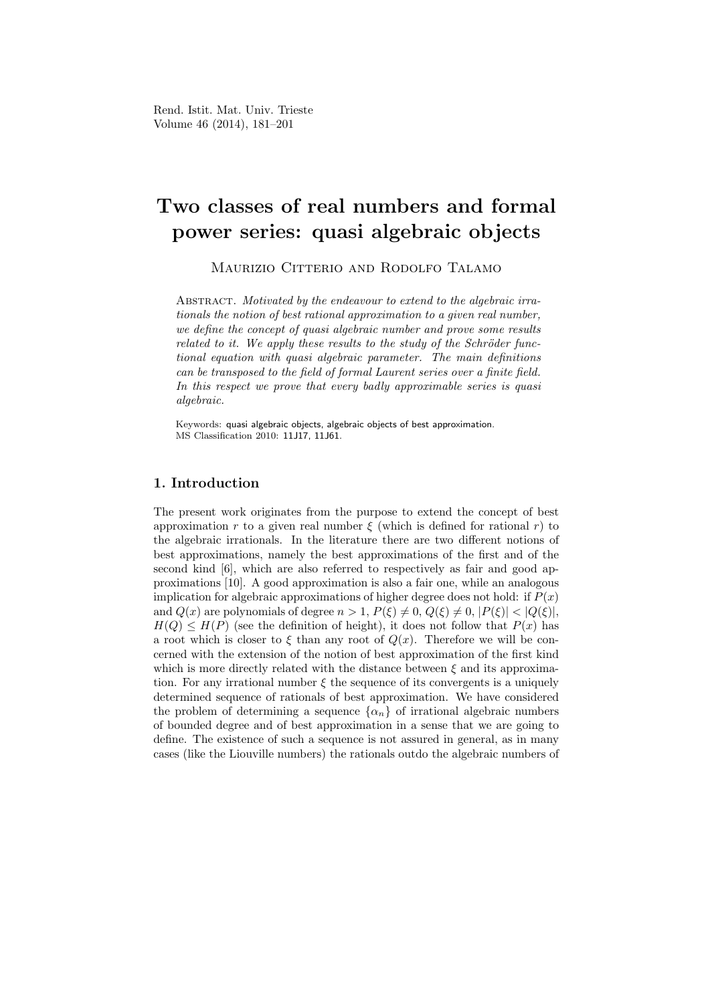# Two classes of real numbers and formal power series: quasi algebraic objects

Maurizio Citterio and Rodolfo Talamo

ABSTRACT. Motivated by the endeavour to extend to the algebraic irrationals the notion of best rational approximation to a given real number, we define the concept of quasi algebraic number and prove some results related to it. We apply these results to the study of the Schröder functional equation with quasi algebraic parameter. The main definitions can be transposed to the field of formal Laurent series over a finite field. In this respect we prove that every badly approximable series is quasi algebraic.

Keywords: quasi algebraic objects, algebraic objects of best approximation. MS Classification 2010: 11J17, 11J61.

# 1. Introduction

The present work originates from the purpose to extend the concept of best approximation r to a given real number  $\xi$  (which is defined for rational r) to the algebraic irrationals. In the literature there are two different notions of best approximations, namely the best approximations of the first and of the second kind [6], which are also referred to respectively as fair and good approximations [10]. A good approximation is also a fair one, while an analogous implication for algebraic approximations of higher degree does not hold: if  $P(x)$ and  $Q(x)$  are polynomials of degree  $n > 1$ ,  $P(\xi) \neq 0$ ,  $Q(\xi) \neq 0$ ,  $|P(\xi)| < |Q(\xi)|$ ,  $H(Q) \leq H(P)$  (see the definition of height), it does not follow that  $P(x)$  has a root which is closer to  $\xi$  than any root of  $Q(x)$ . Therefore we will be concerned with the extension of the notion of best approximation of the first kind which is more directly related with the distance between  $\xi$  and its approximation. For any irrational number  $\xi$  the sequence of its convergents is a uniquely determined sequence of rationals of best approximation. We have considered the problem of determining a sequence  $\{\alpha_n\}$  of irrational algebraic numbers of bounded degree and of best approximation in a sense that we are going to define. The existence of such a sequence is not assured in general, as in many cases (like the Liouville numbers) the rationals outdo the algebraic numbers of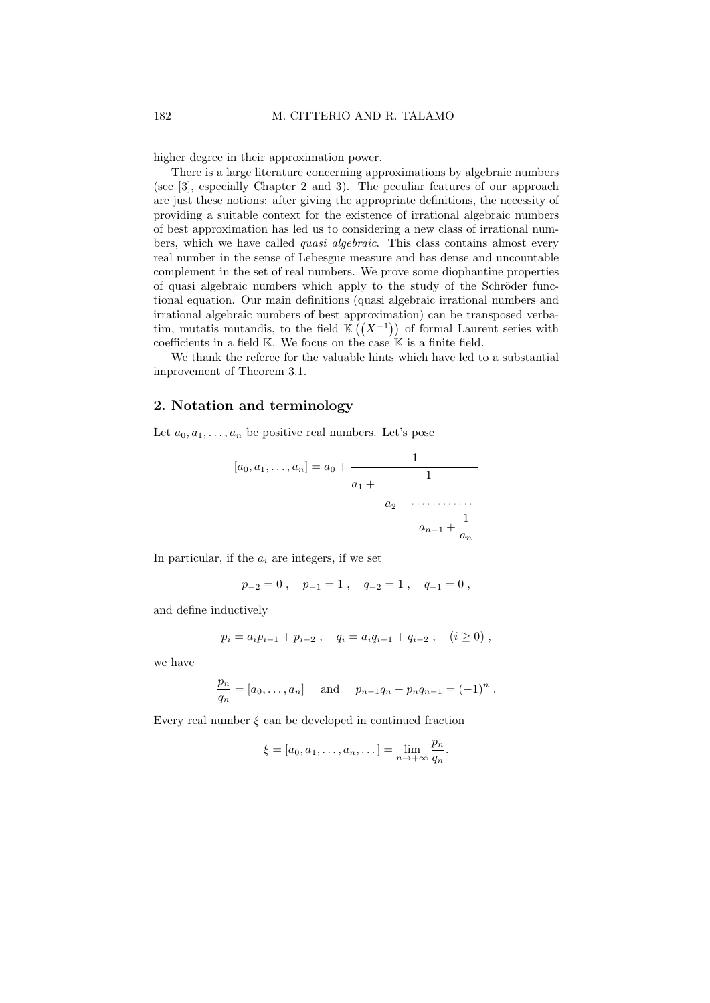higher degree in their approximation power.

There is a large literature concerning approximations by algebraic numbers (see [3], especially Chapter 2 and 3). The peculiar features of our approach are just these notions: after giving the appropriate definitions, the necessity of providing a suitable context for the existence of irrational algebraic numbers of best approximation has led us to considering a new class of irrational numbers, which we have called *quasi algebraic*. This class contains almost every real number in the sense of Lebesgue measure and has dense and uncountable complement in the set of real numbers. We prove some diophantine properties of quasi algebraic numbers which apply to the study of the Schröder functional equation. Our main definitions (quasi algebraic irrational numbers and irrational algebraic numbers of best approximation) can be transposed verbatim, mutatis mutandis, to the field  $\mathbb{K}((X^{-1}))$  of formal Laurent series with coefficients in a field  $K$ . We focus on the case  $K$  is a finite field.

We thank the referee for the valuable hints which have led to a substantial improvement of Theorem 3.1.

## 2. Notation and terminology

Let  $a_0, a_1, \ldots, a_n$  be positive real numbers. Let's pose

$$
[a_0, a_1, \dots, a_n] = a_0 + \cfrac{1}{a_1 + \cfrac{1}{a_2 + \dots + a_{n-1} + \cfrac{1}{a_n}}}
$$

In particular, if the  $a_i$  are integers, if we set

$$
p_{-2}=0\;,\quad p_{-1}=1\;,\quad q_{-2}=1\;,\quad q_{-1}=0\;,
$$

and define inductively

$$
p_i = a_i p_{i-1} + p_{i-2} , \quad q_i = a_i q_{i-1} + q_{i-2} , \quad (i \ge 0) ,
$$

we have

$$
\frac{p_n}{q_n} = [a_0, \dots, a_n] \text{ and } p_{n-1}q_n - p_nq_{n-1} = (-1)^n.
$$

Every real number  $\xi$  can be developed in continued fraction

$$
\xi = [a_0, a_1, \dots, a_n, \dots] = \lim_{n \to +\infty} \frac{p_n}{q_n}.
$$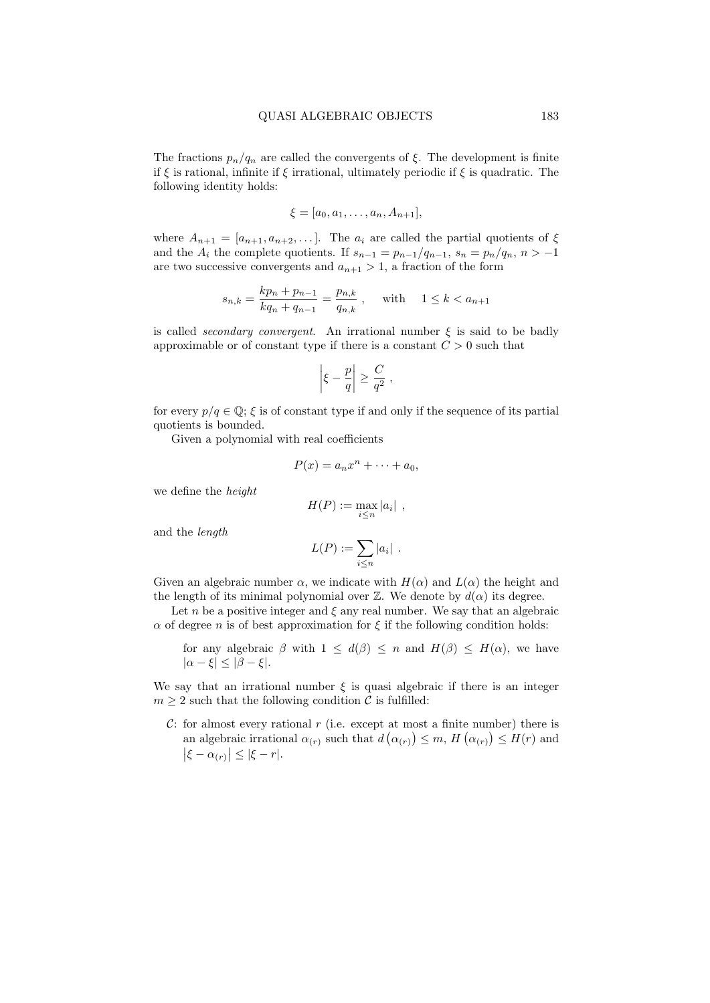The fractions  $p_n/q_n$  are called the convergents of  $\xi$ . The development is finite if  $\xi$  is rational, infinite if  $\xi$  irrational, ultimately periodic if  $\xi$  is quadratic. The following identity holds:

$$
\xi = [a_0, a_1, \dots, a_n, A_{n+1}],
$$

where  $A_{n+1} = [a_{n+1}, a_{n+2}, \dots]$ . The  $a_i$  are called the partial quotients of  $\xi$ and the  $A_i$  the complete quotients. If  $s_{n-1} = p_{n-1}/q_{n-1}$ ,  $s_n = p_n/q_n$ ,  $n > -1$ are two successive convergents and  $a_{n+1} > 1$ , a fraction of the form

$$
s_{n,k} = \frac{kp_n + p_{n-1}}{kq_n + q_{n-1}} = \frac{p_{n,k}}{q_{n,k}}, \quad \text{with} \quad 1 \le k < a_{n+1}
$$

is called *secondary convergent*. An irrational number  $\xi$  is said to be badly approximable or of constant type if there is a constant  $C > 0$  such that

$$
\left|\xi-\frac{p}{q}\right|\geq \frac{C}{q^2}\;,
$$

for every  $p/q \in \mathbb{Q}$ ;  $\xi$  is of constant type if and only if the sequence of its partial quotients is bounded.

Given a polynomial with real coefficients

$$
P(x) = a_n x^n + \dots + a_0,
$$

we define the height

$$
H(P) := \max_{i \leq n} |a_i| ,
$$

and the length

$$
L(P) := \sum_{i \leq n} |a_i| \enspace .
$$

Given an algebraic number  $\alpha$ , we indicate with  $H(\alpha)$  and  $L(\alpha)$  the height and the length of its minimal polynomial over  $\mathbb{Z}$ . We denote by  $d(\alpha)$  its degree.

Let n be a positive integer and  $\xi$  any real number. We say that an algebraic  $\alpha$  of degree *n* is of best approximation for  $\xi$  if the following condition holds:

for any algebraic  $\beta$  with  $1 \leq d(\beta) \leq n$  and  $H(\beta) \leq H(\alpha)$ , we have  $|\alpha - \xi| < |\beta - \xi|$ .

We say that an irrational number  $\xi$  is quasi algebraic if there is an integer  $m \geq 2$  such that the following condition C is fulfilled:

C: for almost every rational  $r$  (i.e. except at most a finite number) there is an algebraic irrational  $\alpha(r)$  such that  $d(\alpha(r)) \leq m$ ,  $H(\alpha(r)) \leq H(r)$  and  $|\xi - \alpha_{(r)}| \leq |\xi - r|.$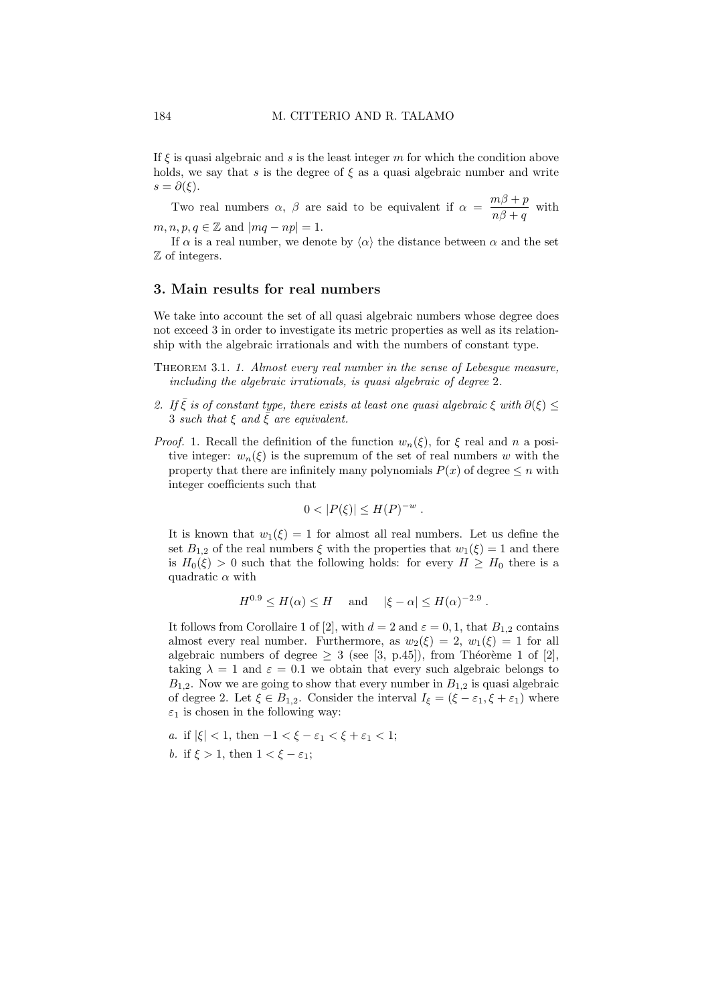If  $\xi$  is quasi algebraic and s is the least integer m for which the condition above holds, we say that s is the degree of  $\xi$  as a quasi algebraic number and write  $s = \partial(\xi)$ .

Two real numbers  $\alpha$ ,  $\beta$  are said to be equivalent if  $\alpha = \frac{m\beta + p}{\beta}$  $\frac{mp+p}{n\beta+q}$  with

 $m, n, p, q \in \mathbb{Z}$  and  $|mq - np| = 1$ .

If  $\alpha$  is a real number, we denote by  $\langle \alpha \rangle$  the distance between  $\alpha$  and the set Z of integers.

#### 3. Main results for real numbers

We take into account the set of all quasi algebraic numbers whose degree does not exceed 3 in order to investigate its metric properties as well as its relationship with the algebraic irrationals and with the numbers of constant type.

- Theorem 3.1. 1. Almost every real number in the sense of Lebesgue measure, including the algebraic irrationals, is quasi algebraic of degree 2.
- 2. If  $\bar{\xi}$  is of constant type, there exists at least one quasi algebraic  $\xi$  with  $\partial(\xi) \leq$ 3 such that  $\xi$  and  $\overline{\xi}$  are equivalent.
- *Proof.* 1. Recall the definition of the function  $w_n(\xi)$ , for  $\xi$  real and n a positive integer:  $w_n(\xi)$  is the supremum of the set of real numbers w with the property that there are infinitely many polynomials  $P(x)$  of degree  $\leq n$  with integer coefficients such that

$$
0<|P(\xi)|\leq H(P)^{-w}.
$$

It is known that  $w_1(\xi) = 1$  for almost all real numbers. Let us define the set  $B_{1,2}$  of the real numbers  $\xi$  with the properties that  $w_1(\xi) = 1$  and there is  $H_0(\xi) > 0$  such that the following holds: for every  $H \geq H_0$  there is a quadratic  $\alpha$  with

$$
H^{0.9} \le H(\alpha) \le H \quad \text{and} \quad |\xi - \alpha| \le H(\alpha)^{-2.9} .
$$

It follows from Corollaire 1 of [2], with  $d = 2$  and  $\varepsilon = 0, 1$ , that  $B_{1,2}$  contains almost every real number. Furthermore, as  $w_2(\xi) = 2$ ,  $w_1(\xi) = 1$  for all algebraic numbers of degree  $\geq 3$  (see [3, p.45]), from Théorème 1 of [2], taking  $\lambda = 1$  and  $\varepsilon = 0.1$  we obtain that every such algebraic belongs to  $B_{1,2}$ . Now we are going to show that every number in  $B_{1,2}$  is quasi algebraic of degree 2. Let  $\xi \in B_{1,2}$ . Consider the interval  $I_{\xi} = (\xi - \varepsilon_1, \xi + \varepsilon_1)$  where  $\varepsilon_1$  is chosen in the following way:

a. if  $|\xi| < 1$ , then  $-1 < \xi - \varepsilon_1 < \xi + \varepsilon_1 < 1$ ; b. if  $\xi > 1$ , then  $1 < \xi - \varepsilon_1$ ;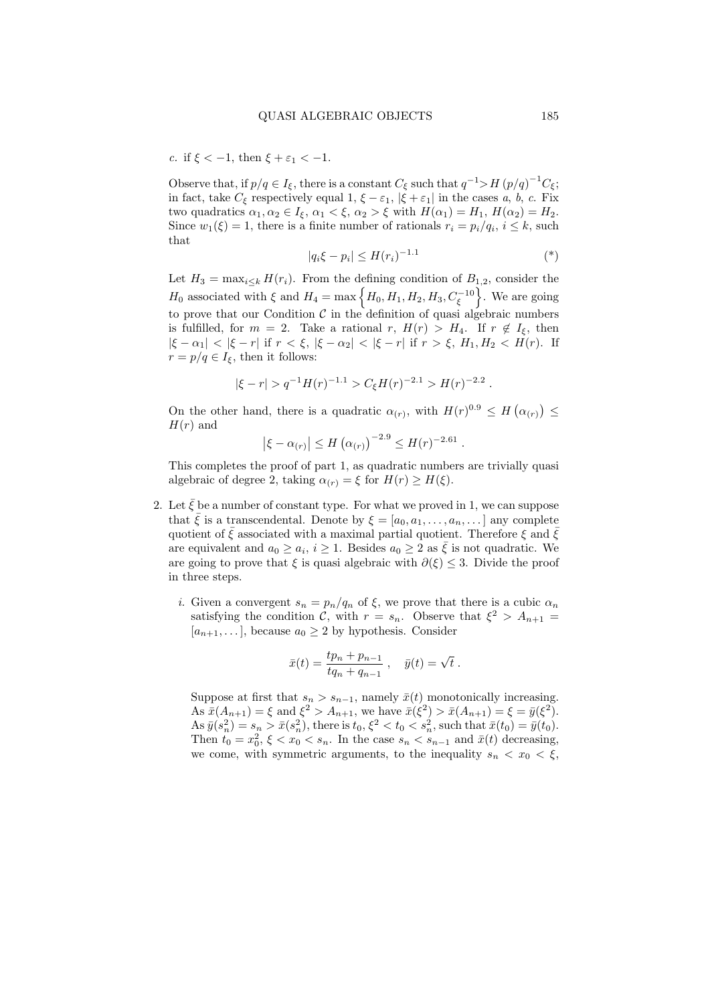c. if  $\xi < -1$ , then  $\xi + \varepsilon_1 < -1$ .

Observe that, if  $p/q \in I_{\xi}$ , there is a constant  $C_{\xi}$  such that  $q^{-1} > H (p/q)^{-1} C_{\xi}$ ; in fact, take  $C_{\xi}$  respectively equal 1,  $\xi - \varepsilon_1$ ,  $|\xi + \varepsilon_1|$  in the cases a, b, c. Fix two quadratics  $\alpha_1, \alpha_2 \in I_{\xi}, \alpha_1 < \xi, \alpha_2 > \xi$  with  $H(\alpha_1) = H_1, H(\alpha_2) = H_2$ . Since  $w_1(\xi) = 1$ , there is a finite number of rationals  $r_i = p_i/q_i$ ,  $i \leq k$ , such that

$$
|q_i \xi - p_i| \le H(r_i)^{-1.1} \tag{*}
$$

Let  $H_3 = \max_{i \leq k} H(r_i)$ . From the defining condition of  $B_{1,2}$ , consider the  $H_0$  associated with  $\xi$  and  $H_4 = \max\left\{H_0, H_1, H_2, H_3, C_{\xi}^{-10}\right\}$ . We are going to prove that our Condition  $\mathcal C$  in the definition of quasi algebraic numbers is fulfilled, for  $m = 2$ . Take a rational r,  $H(r) > H_4$ . If  $r \notin I_5$ , then  $|\xi - \alpha_1| < |\xi - r|$  if  $r < \xi$ ,  $|\xi - \alpha_2| < |\xi - r|$  if  $r > \xi$ ,  $H_1, H_2 < H(r)$ . If  $r = p/q \in I_{\xi}$ , then it follows:

$$
|\xi - r| > q^{-1} H(r)^{-1.1} > C_{\xi} H(r)^{-2.1} > H(r)^{-2.2} .
$$

On the other hand, there is a quadratic  $\alpha(r)$ , with  $H(r)^{0.9} \leq H(\alpha(r)) \leq$  $H(r)$  and

$$
|\xi - \alpha_{(r)}| \le H(\alpha_{(r)})^{-2.9} \le H(r)^{-2.61}
$$
.

This completes the proof of part 1, as quadratic numbers are trivially quasi algebraic of degree 2, taking  $\alpha_{(r)} = \xi$  for  $H(r) \geq H(\xi)$ .

- 2. Let  $\bar{\xi}$  be a number of constant type. For what we proved in 1, we can suppose that  $\bar{\xi}$  is a transcendental. Denote by  $\xi = [a_0, a_1, \ldots, a_n, \ldots]$  any complete quotient of  $\bar{\xi}$  associated with a maximal partial quotient. Therefore  $\xi$  and  $\bar{\xi}$ are equivalent and  $a_0 \ge a_i$ ,  $i \ge 1$ . Besides  $a_0 \ge 2$  as  $\overline{\xi}$  is not quadratic. We are going to prove that  $\xi$  is quasi algebraic with  $\partial(\xi) \leq 3$ . Divide the proof in three steps.
	- i. Given a convergent  $s_n = p_n/q_n$  of  $\xi$ , we prove that there is a cubic  $\alpha_n$ satisfying the condition C, with  $r = s_n$ . Observe that  $\xi^2 > A_{n+1}$  $[a_{n+1}, \ldots]$ , because  $a_0 \geq 2$  by hypothesis. Consider

$$
\bar{x}(t) = \frac{tp_n + p_{n-1}}{tq_n + q_{n-1}}
$$
,  $\bar{y}(t) = \sqrt{t}$ .

Suppose at first that  $s_n > s_{n-1}$ , namely  $\bar{x}(t)$  monotonically increasing. As  $\bar{x}(A_{n+1}) = \xi$  and  $\xi^2 > A_{n+1}$ , we have  $\bar{x}(\xi^2) > \bar{x}(A_{n+1}) = \xi = \bar{y}(\xi^2)$ . As  $\bar{y}(s_n^2) = s_n > \bar{x}(s_n^2)$ , there is  $t_0, \xi^2 < t_0 < s_n^2$ , such that  $\bar{x}(t_0) = \bar{y}(t_0)$ . Then  $t_0 = x_0^2$ ,  $\xi < x_0 < s_n$ . In the case  $s_n < s_{n-1}$  and  $\bar{x}(t)$  decreasing, we come, with symmetric arguments, to the inequality  $s_n < x_0 < \xi$ ,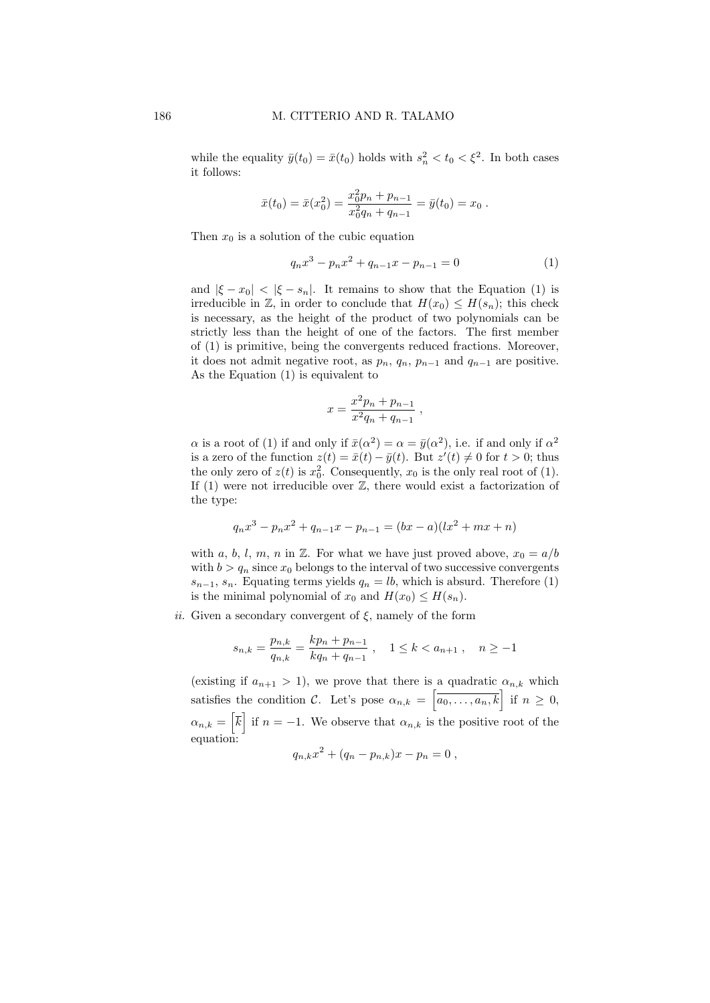while the equality  $\bar{y}(t_0) = \bar{x}(t_0)$  holds with  $s_n^2 < t_0 < \xi^2$ . In both cases it follows:

$$
\bar{x}(t_0) = \bar{x}(x_0^2) = \frac{x_0^2 p_n + p_{n-1}}{x_0^2 q_n + q_{n-1}} = \bar{y}(t_0) = x_0.
$$

Then  $x_0$  is a solution of the cubic equation

$$
q_n x^3 - p_n x^2 + q_{n-1} x - p_{n-1} = 0 \tag{1}
$$

,

and  $|\xi - x_0| < |\xi - s_n|$ . It remains to show that the Equation (1) is irreducible in Z, in order to conclude that  $H(x_0) \leq H(s_n)$ ; this check is necessary, as the height of the product of two polynomials can be strictly less than the height of one of the factors. The first member of (1) is primitive, being the convergents reduced fractions. Moreover, it does not admit negative root, as  $p_n$ ,  $q_n$ ,  $p_{n-1}$  and  $q_{n-1}$  are positive. As the Equation (1) is equivalent to

$$
x = \frac{x^2 p_n + p_{n-1}}{x^2 q_n + q_{n-1}}
$$

 $\alpha$  is a root of (1) if and only if  $\bar{x}(\alpha^2) = \alpha = \bar{y}(\alpha^2)$ , i.e. if and only if  $\alpha^2$ is a zero of the function  $z(t) = \bar{x}(t) - \bar{y}(t)$ . But  $z'(t) \neq 0$  for  $t > 0$ ; thus the only zero of  $z(t)$  is  $x_0^2$ . Consequently,  $x_0$  is the only real root of (1). If  $(1)$  were not irreducible over  $\mathbb{Z}$ , there would exist a factorization of the type:

$$
q_n x^3 - p_n x^2 + q_{n-1} x - p_{n-1} = (bx - a)(lx^2 + mx + n)
$$

with a, b, l, m, n in  $\mathbb{Z}$ . For what we have just proved above,  $x_0 = a/b$ with  $b > q_n$  since  $x_0$  belongs to the interval of two successive convergents  $s_{n-1}, s_n$ . Equating terms yields  $q_n = lb$ , which is absurd. Therefore (1) is the minimal polynomial of  $x_0$  and  $H(x_0) \leq H(s_n)$ .

ii. Given a secondary convergent of  $\xi$ , namely of the form

$$
s_{n,k} = \frac{p_{n,k}}{q_{n,k}} = \frac{kp_n + p_{n-1}}{kq_n + q_{n-1}}, \quad 1 \le k < a_{n+1}, \quad n \ge -1
$$

(existing if  $a_{n+1} > 1$ ), we prove that there is a quadratic  $\alpha_{n,k}$  which satisfies the condition C. Let's pose  $\alpha_{n,k} = \left[\overline{a_0, \ldots, a_n, k}\right]$  if  $n \geq 0$ ,  $\alpha_{n,k} = \left[\overline{k}\right]$  if  $n = -1$ . We observe that  $\alpha_{n,k}$  is the positive root of the equation:

$$
q_{n,k}x^2 + (q_n - p_{n,k})x - p_n = 0,
$$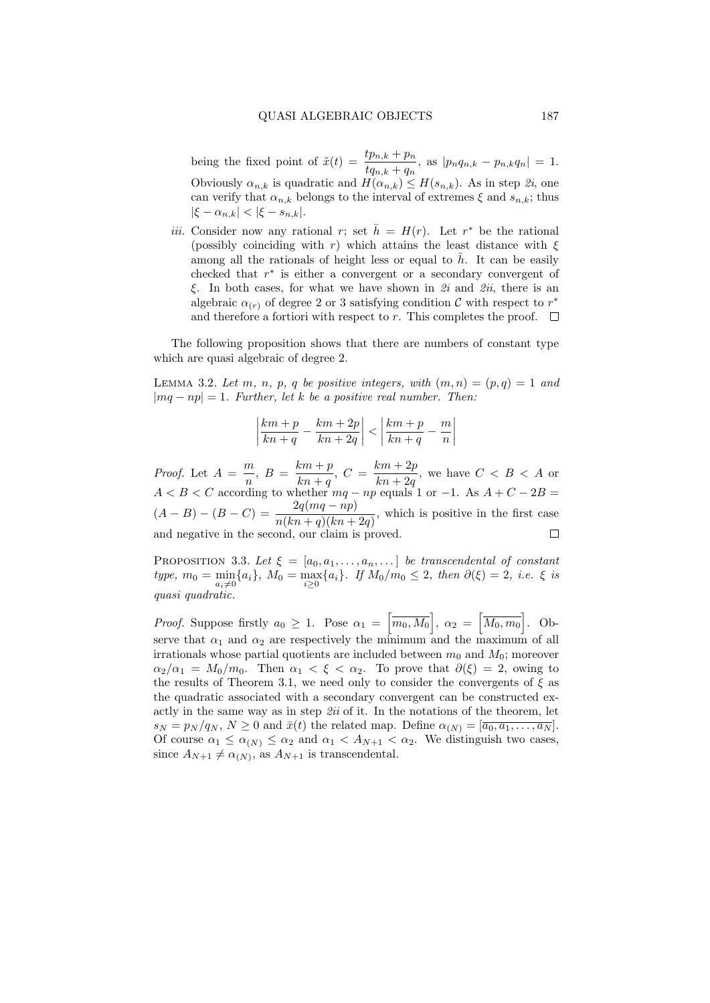being the fixed point of  $\tilde{x}(t) = \frac{tp_{n,k} + p_n}{tq_{n,k} + q_n}$ , as  $|p_nq_{n,k} - p_{n,k}q_n| = 1$ . Obviously  $\alpha_{n,k}$  is quadratic and  $H(\alpha_{n,k}) \leq H(s_{n,k})$ . As in step  $\hat{z}_i$ , one can verify that  $\alpha_{n,k}$  belongs to the interval of extremes  $\xi$  and  $s_{n,k}$ ; thus  $|\xi - \alpha_{n,k}| < |\xi - s_{n,k}|.$ 

*iii.* Consider now any rational r; set  $\bar{h} = H(r)$ . Let r<sup>\*</sup> be the rational (possibly coinciding with r) which attains the least distance with  $\xi$ among all the rationals of height less or equal to  $\bar{h}$ . It can be easily checked that  $r^*$  is either a convergent or a secondary convergent of ξ. In both cases, for what we have shown in  $2i$  and  $2ii$ , there is an algebraic  $\alpha_{(r)}$  of degree 2 or 3 satisfying condition  $\mathcal C$  with respect to  $r^*$ and therefore a fortiori with respect to r. This completes the proof.  $\Box$ 

The following proposition shows that there are numbers of constant type which are quasi algebraic of degree 2.

LEMMA 3.2. Let m, n, p, q be positive integers, with  $(m, n) = (p, q) = 1$  and  $|mq - np| = 1$ . Further, let k be a positive real number. Then:

$$
\left|\frac{km+p}{kn+q} - \frac{km+2p}{kn+2q}\right| < \left|\frac{km+p}{kn+q} - \frac{m}{n}\right|
$$

*Proof.* Let  $A = \frac{m}{n}$  $\frac{m}{n}, B = \frac{km+p}{kn+q}$  $\frac{km+p}{kn+q}, C = \frac{km+2p}{kn+2q}$  $\frac{k(n+2p)}{kn+2q}$ , we have  $C < B < A$  or  $A < B < C$  according to whether  $mq - np$  equals 1 or -1. As  $A + C - 2B =$  $(A - B) - (B - C) = \frac{2q(mq - np)}{n(kn + q)(kn + 2q)}$ , which is positive in the first case and negative in the second, our claim is proved.  $\Box$ 

PROPOSITION 3.3. Let  $\xi = [a_0, a_1, \ldots, a_n, \ldots]$  be transcendental of constant type,  $m_0 = \min_{a_i \neq 0} \{a_i\}$ ,  $M_0 = \max_{i \geq 0} \{a_i\}$ . If  $M_0/m_0 \leq 2$ , then  $\partial(\xi) = 2$ , i.e.  $\xi$  is quasi quadratic.

*Proof.* Suppose firstly  $a_0 \geq 1$ . Pose  $\alpha_1 = \left[\overline{m_0, M_0}\right], \ \alpha_2 = \left[\overline{M_0, m_0}\right]$ . Observe that  $\alpha_1$  and  $\alpha_2$  are respectively the minimum and the maximum of all irrationals whose partial quotients are included between  $m_0$  and  $M_0$ ; moreover  $\alpha_2/\alpha_1 = M_0/m_0$ . Then  $\alpha_1 < \xi < \alpha_2$ . To prove that  $\partial(\xi) = 2$ , owing to the results of Theorem 3.1, we need only to consider the convergents of  $\xi$  as the quadratic associated with a secondary convergent can be constructed exactly in the same way as in step  $2ii$  of it. In the notations of the theorem, let  $s_N = p_N / q_N$ ,  $N \geq 0$  and  $\bar{x}(t)$  the related map. Define  $\alpha_{(N)} = [\overline{a_0, a_1, \ldots, a_N}]$ . Of course  $\alpha_1 \leq \alpha_{(N)} \leq \alpha_2$  and  $\alpha_1 < A_{N+1} < \alpha_2$ . We distinguish two cases, since  $A_{N+1} \neq \alpha_{(N)}$ , as  $A_{N+1}$  is transcendental.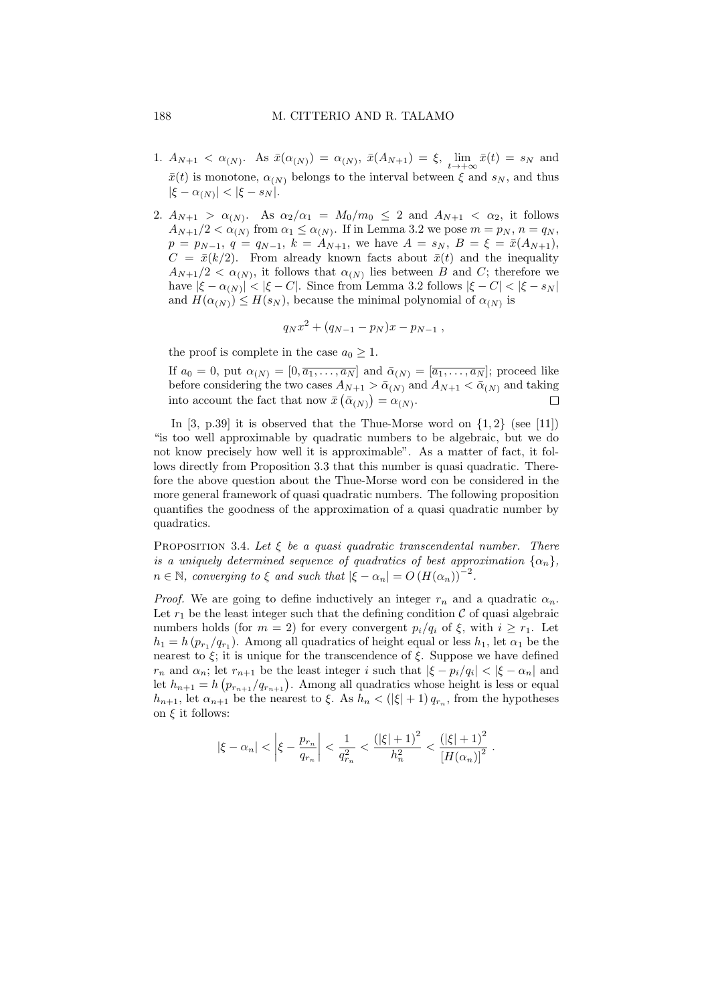- 1.  $A_{N+1} < \alpha_{(N)}$ . As  $\bar{x}(\alpha_{(N)}) = \alpha_{(N)}$ ,  $\bar{x}(A_{N+1}) = \xi$ ,  $\lim_{t \to +\infty} \bar{x}(t) = s_N$  and  $\bar{x}(t)$  is monotone,  $\alpha_{(N)}$  belongs to the interval between  $\xi$  and  $s_N$ , and thus  $|\xi - \alpha_{(N)}| < |\xi - s_N|.$
- 2.  $A_{N+1} > \alpha_{(N)}$ . As  $\alpha_2/\alpha_1 = M_0/m_0 \leq 2$  and  $A_{N+1} < \alpha_2$ , it follows  $A_{N+1}/2 < \alpha_{(N)}$  from  $\alpha_1 \leq \alpha_{(N)}$ . If in Lemma 3.2 we pose  $m = p_N$ ,  $n = q_N$ ,  $p = p_{N-1}, q = q_{N-1}, k = A_{N+1}$ , we have  $A = s_N, B = \xi = \bar{x}(A_{N+1}),$  $C = \bar{x}(k/2)$ . From already known facts about  $\bar{x}(t)$  and the inequality  $A_{N+1}/2 < \alpha_{(N)}$ , it follows that  $\alpha_{(N)}$  lies between B and C; therefore we have  $|\xi - \alpha_{(N)}| < |\xi - C|$ . Since from Lemma 3.2 follows  $|\xi - C| < |\xi - s_N|$ and  $H(\alpha_N) \leq H(s_N)$ , because the minimal polynomial of  $\alpha_N$  is

$$
q_N x^2 + (q_{N-1} - p_N)x - p_{N-1} ,
$$

the proof is complete in the case  $a_0 \geq 1$ .

If  $a_0 = 0$ , put  $\alpha_{(N)} = [0, \overline{a_1, \ldots, a_N}]$  and  $\overline{\alpha}_{(N)} = [\overline{a_1, \ldots, a_N}]$ ; proceed like before considering the two cases  $A_{N+1} > \bar{\alpha}_{(N)}$  and  $A_{N+1} < \bar{\alpha}_{(N)}$  and taking into account the fact that now  $\bar{x}(\bar{\alpha}_{(N)}) = \alpha_{(N)}$ .  $\Box$ 

In  $[3, p.39]$  it is observed that the Thue-Morse word on  $\{1, 2\}$  (see [11]) "is too well approximable by quadratic numbers to be algebraic, but we do not know precisely how well it is approximable". As a matter of fact, it follows directly from Proposition 3.3 that this number is quasi quadratic. Therefore the above question about the Thue-Morse word con be considered in the more general framework of quasi quadratic numbers. The following proposition quantifies the goodness of the approximation of a quasi quadratic number by quadratics.

PROPOSITION 3.4. Let  $\xi$  be a quasi quadratic transcendental number. There is a uniquely determined sequence of quadratics of best approximation  $\{\alpha_n\},\$  $n \in \mathbb{N}$ , converging to  $\xi$  and such that  $|\xi - \alpha_n| = O(H(\alpha_n))^{-2}$ .

*Proof.* We are going to define inductively an integer  $r_n$  and a quadratic  $\alpha_n$ . Let  $r_1$  be the least integer such that the defining condition  $\mathcal C$  of quasi algebraic numbers holds (for  $m = 2$ ) for every convergent  $p_i/q_i$  of  $\xi$ , with  $i \geq r_1$ . Let  $h_1 = h(p_{r_1}/q_{r_1})$ . Among all quadratics of height equal or less  $h_1$ , let  $\alpha_1$  be the nearest to  $\xi$ ; it is unique for the transcendence of  $\xi$ . Suppose we have defined  $r_n$  and  $\alpha_n$ ; let  $r_{n+1}$  be the least integer i such that  $|\xi - p_i/q_i| < |\xi - \alpha_n|$  and let  $h_{n+1} = h\left(p_{r_{n+1}}/q_{r_{n+1}}\right)$ . Among all quadratics whose height is less or equal  $h_{n+1}$ , let  $\alpha_{n+1}$  be the nearest to  $\xi$ . As  $h_n < (|\xi| + 1) q_{r_n}$ , from the hypotheses on  $\xi$  it follows:

$$
|\xi - \alpha_n| < \left|\xi - \frac{p_{r_n}}{q_{r_n}}\right| < \frac{1}{q_{r_n}^2} < \frac{(|\xi| + 1)^2}{h_n^2} < \frac{(|\xi| + 1)^2}{[H(\alpha_n)]^2}.
$$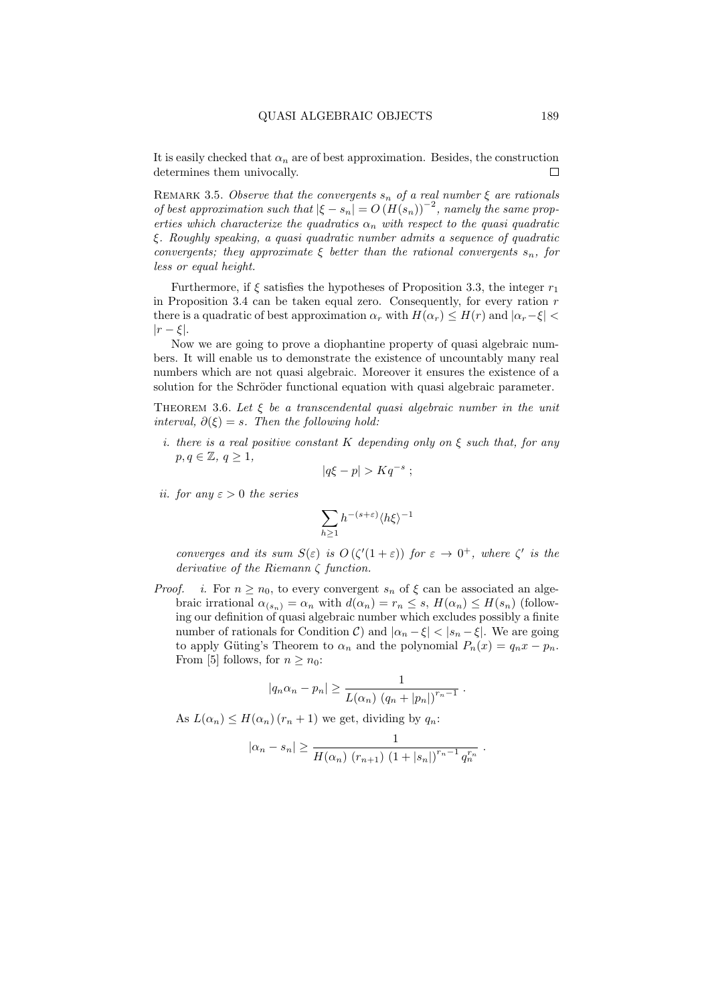It is easily checked that  $\alpha_n$  are of best approximation. Besides, the construction determines them univocally. □

REMARK 3.5. Observe that the convergents  $s_n$  of a real number  $\xi$  are rationals of best approximation such that  $|\xi - s_n| = O(H(s_n))^{-2}$ , namely the same properties which characterize the quadratics  $\alpha_n$  with respect to the quasi quadratic ξ. Roughly speaking, a quasi quadratic number admits a sequence of quadratic convergents; they approximate  $\xi$  better than the rational convergents  $s_n$ , for less or equal height.

Furthermore, if  $\xi$  satisfies the hypotheses of Proposition 3.3, the integer  $r_1$ in Proposition 3.4 can be taken equal zero. Consequently, for every ration  $r$ there is a quadratic of best approximation  $\alpha_r$  with  $H(\alpha_r) \leq H(r)$  and  $|\alpha_r-\xi|$  $|r - \xi|$ .

Now we are going to prove a diophantine property of quasi algebraic numbers. It will enable us to demonstrate the existence of uncountably many real numbers which are not quasi algebraic. Moreover it ensures the existence of a solution for the Schröder functional equation with quasi algebraic parameter.

THEOREM 3.6. Let  $\xi$  be a transcendental quasi algebraic number in the unit interval,  $\partial(\xi) = s$ . Then the following hold:

i. there is a real positive constant K depending only on  $\xi$  such that, for any  $p, q \in \mathbb{Z}, q \geq 1$ ,

$$
|q\xi - p| > Kq^{-s} ;
$$

ii. for any  $\varepsilon > 0$  the series

$$
\sum_{h\geq 1} h^{-(s+\varepsilon)} \langle h\xi\rangle^{-1}
$$

converges and its sum  $S(\varepsilon)$  is  $O(\zeta'(1+\varepsilon))$  for  $\varepsilon \to 0^+$ , where  $\zeta'$  is the derivative of the Riemann ζ function.

*Proof. i.* For  $n \ge n_0$ , to every convergent  $s_n$  of  $\xi$  can be associated an algebraic irrational  $\alpha_{(s_n)} = \alpha_n$  with  $d(\alpha_n) = r_n \leq s$ ,  $H(\alpha_n) \leq H(s_n)$  (following our definition of quasi algebraic number which excludes possibly a finite number of rationals for Condition C) and  $|\alpha_n - \xi| < |s_n - \xi|$ . We are going to apply Güting's Theorem to  $\alpha_n$  and the polynomial  $P_n(x) = q_n x - p_n$ . From [5] follows, for  $n \geq n_0$ :

$$
|q_n \alpha_n - p_n| \geq \frac{1}{L(\alpha_n) (q_n + |p_n|)^{r_n - 1}}.
$$

As  $L(\alpha_n) \leq H(\alpha_n)$   $(r_n+1)$  we get, dividing by  $q_n$ :

$$
|\alpha_n - s_n| \ge \frac{1}{H(\alpha_n) (r_{n+1}) (1 + |s_n|)^{r_n - 1} q_n^{r_n}}
$$
.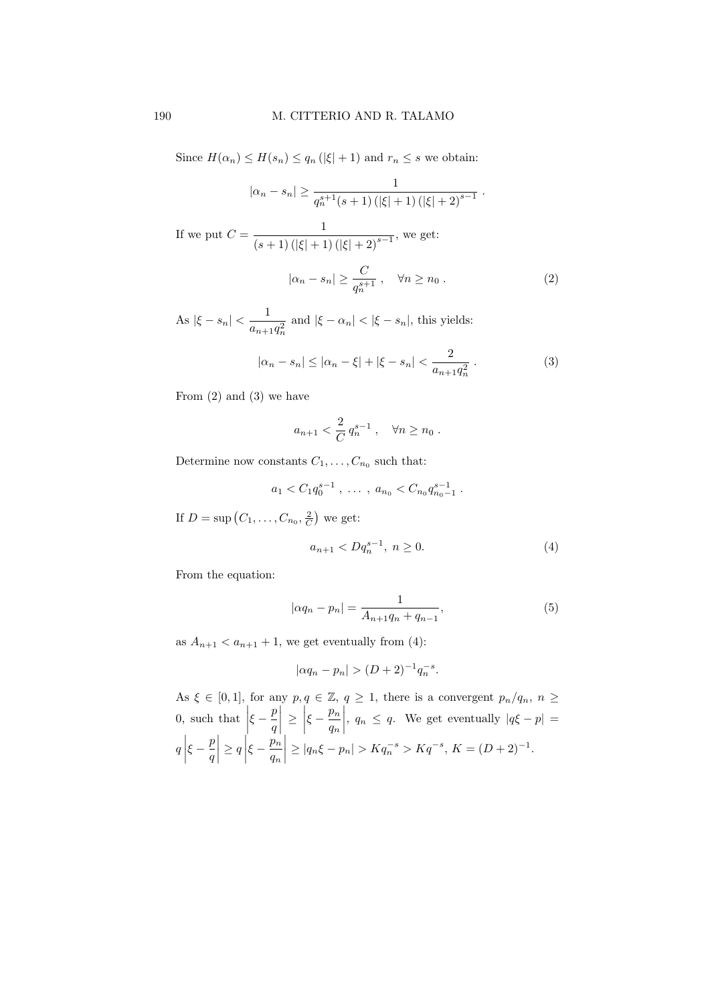Since  $H(\alpha_n) \leq H(s_n) \leq q_n (\vert \xi \vert + 1)$  and  $r_n \leq s$  we obtain:

$$
|\alpha_n - s_n| \ge \frac{1}{q_n^{s+1}(s+1) (|\xi|+1) (|\xi|+2)^{s-1}}.
$$
  
If we put  $C = \frac{1}{(s+1) (|\xi|+1) (|\xi|+2)^{s-1}}$ , we get:  

$$
|\alpha_n - s_n| \ge \frac{C}{q_n^{s+1}}, \quad \forall n \ge n_0.
$$
 (2)

As  $|\xi - s_n| < \frac{1}{\epsilon}$  $\frac{1}{a_{n+1}q_n^2}$  and  $|\xi - \alpha_n| < |\xi - s_n|$ , this yields:

$$
|\alpha_n - s_n| \le |\alpha_n - \xi| + |\xi - s_n| < \frac{2}{a_{n+1}q_n^2} \,. \tag{3}
$$

From (2) and (3) we have

$$
a_{n+1} < \frac{2}{C} q_n^{s-1}, \quad \forall n \ge n_0.
$$

Determine now constants  $C_1, \ldots, C_{n_0}$  such that:

$$
a_1 < C_1 q_0^{s-1}
$$
, ...,  $a_{n_0} < C_{n_0} q_{n_0-1}^{s-1}$ .

If  $D = \sup (C_1, \ldots, C_{n_0}, \frac{2}{C})$  we get:

$$
a_{n+1} < Dq_n^{s-1}, \ n \ge 0. \tag{4}
$$

From the equation:

$$
|\alpha q_n - p_n| = \frac{1}{A_{n+1}q_n + q_{n-1}},\tag{5}
$$

as  $A_{n+1} < a_{n+1} + 1$ , we get eventually from (4):

$$
|\alpha q_n - p_n| > (D+2)^{-1} q_n^{-s}.
$$

As  $\xi \in [0,1]$ , for any  $p, q \in \mathbb{Z}, q \geq 1$ , there is a convergent  $p_n/q_n$ ,  $n \geq$  $0, \text{ such that }$  $\xi - \frac{p}{q}$ q  $\begin{array}{c} \begin{array}{c} \begin{array}{c} \end{array} \\ \begin{array}{c} \end{array} \end{array} \end{array}$  $\geq$  $\xi - \frac{p_n}{n}$  $q_n$  $\begin{array}{c} \hline \end{array}$ ,  $q_n \leq q$ . We get eventually  $|q\xi - p|$  =  $q\bigg|$  $\xi - \frac{p}{q}$  $\overline{q}$  $\begin{array}{c} \begin{array}{c} \begin{array}{c} \end{array} \\ \begin{array}{c} \end{array} \end{array} \end{array}$  $\geq q\bigg|$  $\xi - \frac{p_n}{n}$  $q_n$  $\begin{array}{c} \begin{array}{c} \begin{array}{c} \end{array} \\ \begin{array}{c} \end{array} \end{array} \end{array}$  $\geq |q_n\xi - p_n| > Kq_n^{-s} > Kq^{-s}, K = (D+2)^{-1}.$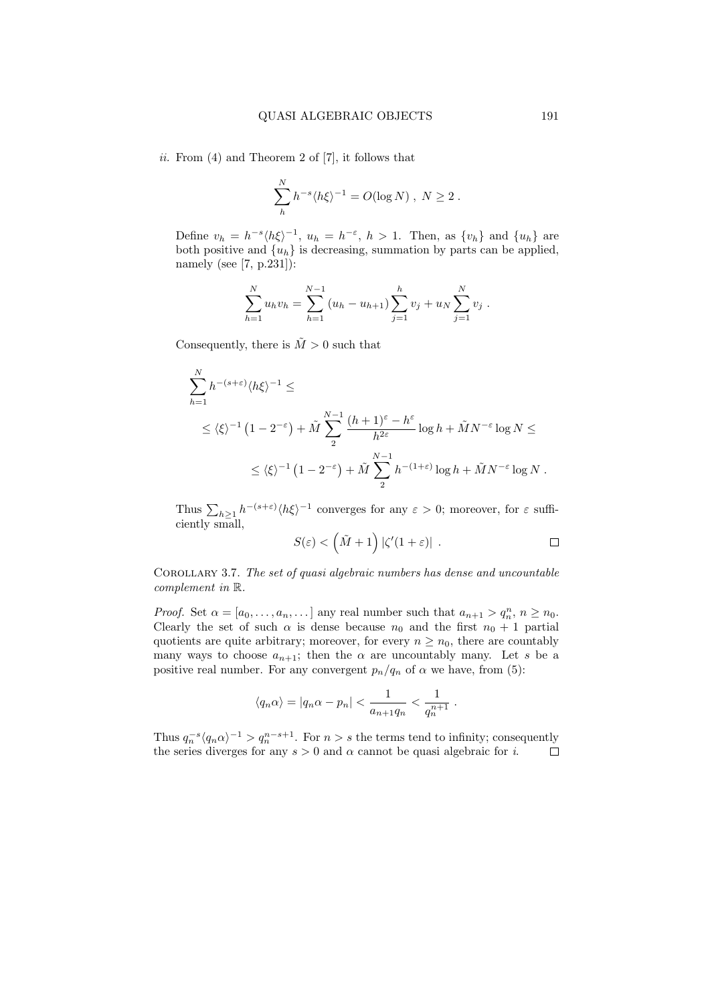ii. From  $(4)$  and Theorem 2 of  $[7]$ , it follows that

$$
\sum_{h}^{N} h^{-s} \langle h \xi \rangle^{-1} = O(\log N) , N \ge 2 .
$$

Define  $v_h = h^{-s} \langle h \xi \rangle^{-1}$ ,  $u_h = h^{-\varepsilon}$ ,  $h > 1$ . Then, as  $\{v_h\}$  and  $\{u_h\}$  are both positive and  $\{u_h\}$  is decreasing, summation by parts can be applied, namely (see [7, p.231]):

$$
\sum_{h=1}^{N} u_h v_h = \sum_{h=1}^{N-1} (u_h - u_{h+1}) \sum_{j=1}^{h} v_j + u_N \sum_{j=1}^{N} v_j.
$$

Consequently, there is  $\tilde{M} > 0$  such that

$$
\sum_{h=1}^{N} h^{-(s+\varepsilon)} \langle h \xi \rangle^{-1} \le
$$
  
 
$$
\leq \langle \xi \rangle^{-1} (1 - 2^{-\varepsilon}) + \tilde{M} \sum_{2}^{N-1} \frac{(h+1)^{\varepsilon} - h^{\varepsilon}}{h^{2\varepsilon}} \log h + \tilde{M} N^{-\varepsilon} \log N \le
$$
  
 
$$
\leq \langle \xi \rangle^{-1} (1 - 2^{-\varepsilon}) + \tilde{M} \sum_{2}^{N-1} h^{-(1+\varepsilon)} \log h + \tilde{M} N^{-\varepsilon} \log N.
$$

Thus  $\sum_{h\geq 1} h^{-(s+\varepsilon)} \langle h\xi \rangle^{-1}$  converges for any  $\varepsilon > 0$ ; moreover, for  $\varepsilon$  sufficiently small,

$$
S(\varepsilon) < (\tilde{M} + 1) |\zeta'(1 + \varepsilon)| \ .
$$

Corollary 3.7. The set of quasi algebraic numbers has dense and uncountable complement in R.

*Proof.* Set  $\alpha = [a_0, \ldots, a_n, \ldots]$  any real number such that  $a_{n+1} > q_n^n$ ,  $n \ge n_0$ . Clearly the set of such  $\alpha$  is dense because  $n_0$  and the first  $n_0 + 1$  partial quotients are quite arbitrary; moreover, for every  $n \geq n_0$ , there are countably many ways to choose  $a_{n+1}$ ; then the  $\alpha$  are uncountably many. Let s be a positive real number. For any convergent  $p_n/q_n$  of  $\alpha$  we have, from (5):

$$
\langle q_n \alpha \rangle = |q_n \alpha - p_n| < \frac{1}{a_{n+1} q_n} < \frac{1}{q_n^{n+1}}.
$$

Thus  $q_n^{-s} \langle q_n \alpha \rangle^{-1} > q_n^{n-s+1}$ . For  $n > s$  the terms tend to infinity; consequently the series diverges for any  $s > 0$  and  $\alpha$  cannot be quasi algebraic for i.  $\Box$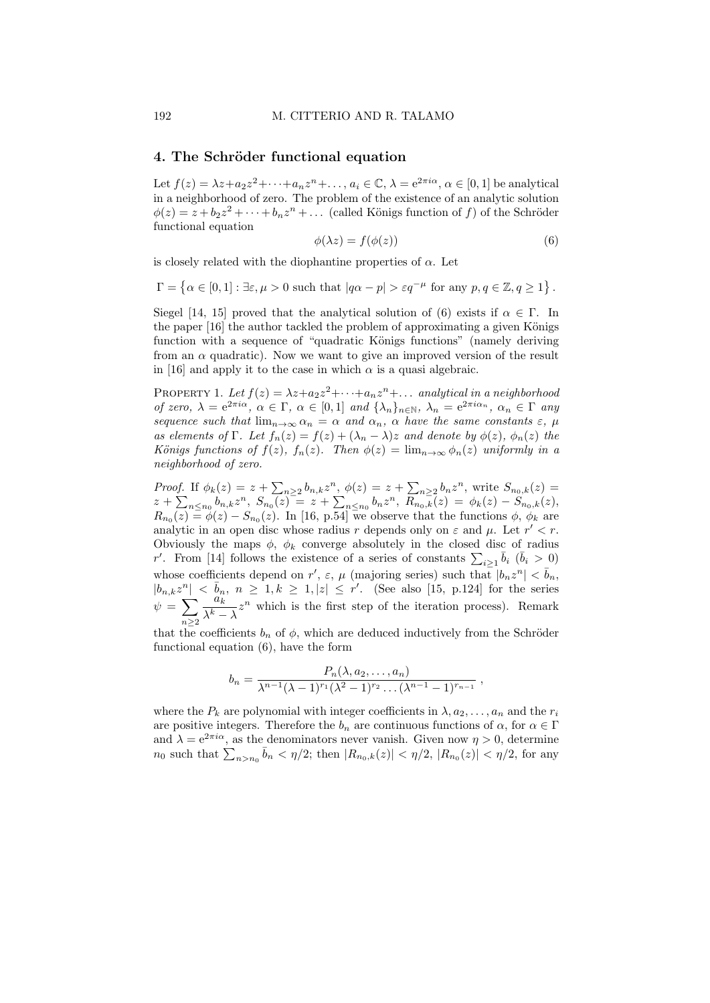#### 4. The Schröder functional equation

Let  $f(z) = \lambda z + a_2 z^2 + \cdots + a_n z^n + \ldots, a_i \in \mathbb{C}, \lambda = e^{2\pi i \alpha}, \alpha \in [0, 1]$  be analytical in a neighborhood of zero. The problem of the existence of an analytic solution  $\phi(z) = z + b_2 z^2 + \dots + b_n z^n + \dots$  (called Königs function of f) of the Schröder functional equation

$$
\phi(\lambda z) = f(\phi(z))\tag{6}
$$

is closely related with the diophantine properties of  $\alpha$ . Let

$$
\Gamma = \left\{ \alpha \in [0,1] : \exists \varepsilon, \mu > 0 \text{ such that } |q\alpha - p| > \varepsilon q^{-\mu} \text{ for any } p, q \in \mathbb{Z}, q \ge 1 \right\}.
$$

Siegel [14, 15] proved that the analytical solution of (6) exists if  $\alpha \in \Gamma$ . In the paper  $[16]$  the author tackled the problem of approximating a given Königs function with a sequence of "quadratic Königs functions" (namely deriving from an  $\alpha$  quadratic). Now we want to give an improved version of the result in [16] and apply it to the case in which  $\alpha$  is a quasi algebraic.

PROPERTY 1. Let  $f(z) = \lambda z + a_2 z^2 + \cdots + a_n z^n + \dots$  analytical in a neighborhood of zero,  $\lambda = e^{2\pi i \alpha}$ ,  $\alpha \in \Gamma$ ,  $\alpha \in [0,1]$  and  $\{\lambda_n\}_{n\in \mathbb{N}}$ ,  $\lambda_n = e^{2\pi i \alpha_n}$ ,  $\alpha_n \in \Gamma$  any sequence such that  $\lim_{n\to\infty} \alpha_n = \alpha$  and  $\alpha_n$ ,  $\alpha$  have the same constants  $\varepsilon$ ,  $\mu$ as elements of Γ. Let  $f_n(z) = f(z) + (\lambda_n - \lambda)z$  and denote by  $\phi(z)$ ,  $\phi_n(z)$  the Königs functions of  $f(z)$ ,  $f_n(z)$ . Then  $\phi(z) = \lim_{n \to \infty} \phi_n(z)$  uniformly in a neighborhood of zero.

Proof. If  $\phi_k(z) = z + \sum_{n>2} b_{n,k} z^n$ ,  $\phi(z) = z + \sum_{n>2} b_n z^n$ , write  $S_{n_0,k}(z) =$  $z + \sum_{n \leq n_0} b_{n,k} z^n$ ,  $S_{n_0}(z) = z + \sum_{n \leq n_0} b_n z^n$ ,  $R_{n_0,k}(z) = \phi_k(z) - S_{n_0,k}(z)$ ,  $R_{n_0}(z) \equiv \phi(z) - S_{n_0}(z)$ . In [16, p.54] we observe that the functions  $\phi$ ,  $\phi_k$  are analytic in an open disc whose radius r depends only on  $\varepsilon$  and  $\mu$ . Let  $r' < r$ . Obviously the maps  $\phi$ ,  $\phi_k$  converge absolutely in the closed disc of radius r'. From [14] follows the existence of a series of constants  $\sum_{i>1} \bar{b}_i$  ( $\bar{b}_i > 0$ )  $i \geq 1$ whose coefficients depend on r',  $\varepsilon$ ,  $\mu$  (majoring series) such that  $|b_n z^n| < \bar{b}_n$ ,  $|b_{n,k}z^n| < \bar{b}_n, n \geq 1, k \geq 1, |z| \leq r'$ . (See also [15, p.124] for the series  $\psi = \sum$  $n\geq 2$  $a_k^{\prime\prime}$  $\frac{a_k}{\lambda^k - \lambda} z^n$  which is the first step of the iteration process). Remark

that the coefficients  $b_n$  of  $\phi$ , which are deduced inductively from the Schröder functional equation (6), have the form

$$
b_n = \frac{P_n(\lambda, a_2, \dots, a_n)}{\lambda^{n-1}(\lambda - 1)^{r_1}(\lambda^2 - 1)^{r_2} \dots (\lambda^{n-1} - 1)^{r_{n-1}}},
$$

where the  $P_k$  are polynomial with integer coefficients in  $\lambda, a_2, \ldots, a_n$  and the  $r_i$ are positive integers. Therefore the  $b_n$  are continuous functions of  $\alpha$ , for  $\alpha \in \Gamma$ and  $\lambda = e^{2\pi i \alpha}$ , as the denominators never vanish. Given now  $\eta > 0$ , determine  $n_0$  such that  $\sum_{n>n_0} \bar{b}_n < \eta/2$ ; then  $|R_{n_0,k}(z)| < \eta/2$ ,  $|R_{n_0}(z)| < \eta/2$ , for any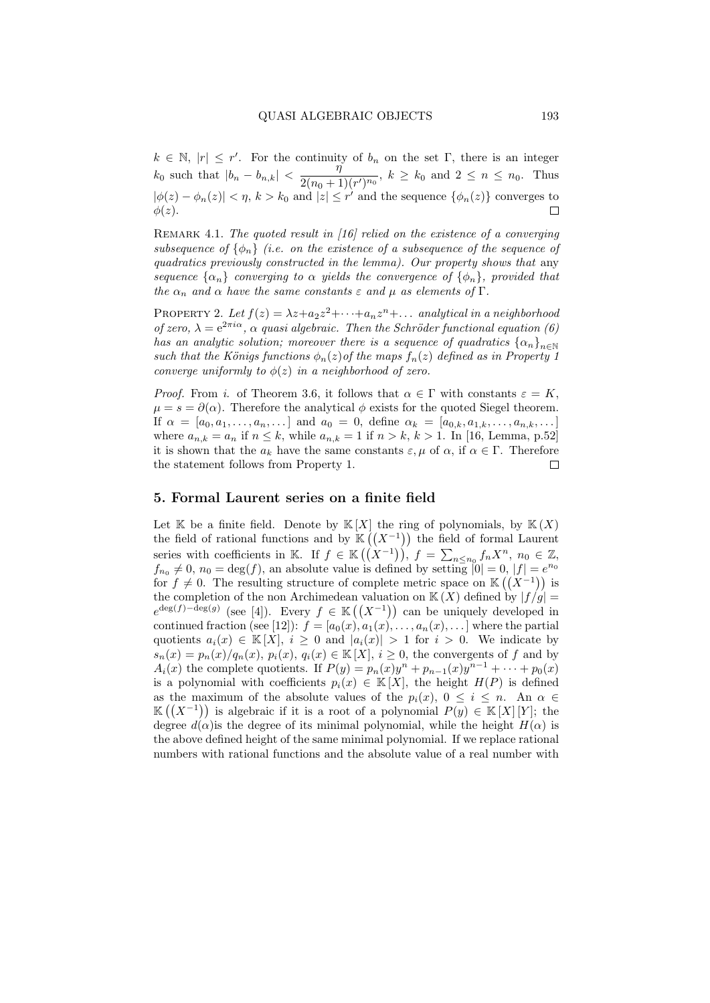$k \in \mathbb{N}, |r| \leq r'$ . For the continuity of  $b_n$  on the set  $\Gamma$ , there is an integer  $k_0$  such that  $|b_n - b_{n,k}| < \frac{\eta}{2(n+1)}$  $\frac{1}{2(n_0+1)(r')^{n_0}}, k \ge k_0 \text{ and } 2 \le n \le n_0.$  Thus  $|\phi(z) - \phi_n(z)| < \eta$ ,  $k > k_0$  and  $|z| \leq r'$  and the sequence  $\{\phi_n(z)\}\$ converges to  $\phi(z)$ .  $\Box$ 

REMARK 4.1. The quoted result in [16] relied on the existence of a converging subsequence of  $\{\phi_n\}$  (i.e. on the existence of a subsequence of the sequence of quadratics previously constructed in the lemma). Our property shows that any sequence  $\{\alpha_n\}$  converging to  $\alpha$  yields the convergence of  $\{\phi_n\}$ , provided that the  $\alpha_n$  and  $\alpha$  have the same constants  $\varepsilon$  and  $\mu$  as elements of  $\Gamma$ .

PROPERTY 2. Let  $f(z) = \lambda z + a_2 z^2 + \cdots + a_n z^n + \dots$  analytical in a neighborhood of zero,  $\lambda = e^{2\pi i \alpha}$ ,  $\alpha$  quasi algebraic. Then the Schröder functional equation (6) has an analytic solution; moreover there is a sequence of quadratics  $\{\alpha_n\}_{n\in\mathbb{N}}$ such that the Königs functions  $\phi_n(z)$  of the maps  $f_n(z)$  defined as in Property 1 converge uniformly to  $\phi(z)$  in a neighborhood of zero.

*Proof.* From i. of Theorem 3.6, it follows that  $\alpha \in \Gamma$  with constants  $\varepsilon = K$ ,  $\mu = s = \partial(\alpha)$ . Therefore the analytical  $\phi$  exists for the quoted Siegel theorem. If  $\alpha = [a_0, a_1, \ldots, a_n, \ldots]$  and  $a_0 = 0$ , define  $\alpha_k = [a_{0,k}, a_{1,k}, \ldots, a_{n,k}, \ldots]$ where  $a_{n,k} = a_n$  if  $n \leq k$ , while  $a_{n,k} = 1$  if  $n > k$ ,  $k > 1$ . In [16, Lemma, p.52] it is shown that the  $a_k$  have the same constants  $\varepsilon, \mu$  of  $\alpha$ , if  $\alpha \in \Gamma$ . Therefore the statement follows from Property 1.  $\Box$ 

#### 5. Formal Laurent series on a finite field

Let K be a finite field. Denote by  $K[X]$  the ring of polynomials, by  $K(X)$ the field of rational functions and by  $\mathbb{K}((X^{-1}))$  the field of formal Laurent series with coefficients in K. If  $f \in K((X^{-1})), f = \sum_{n \leq n_0} f_n X^n, n_0 \in \mathbb{Z}$ ,  $f_{n_0} \neq 0$ ,  $n_0 = \deg(f)$ , an absolute value is defined by setting  $|0| = 0$ ,  $|f| = e^{n_0}$ for  $f \neq 0$ . The resulting structure of complete metric space on K  $((X^{-1}))$  is the completion of the non-Archimedean valuation on  $K(X)$  defined by  $|f/g|$  $e^{\deg(f) - \deg(g)}$  (see [4]). Every  $f \in \mathbb{K}((X^{-1}))$  can be uniquely developed in continued fraction (see [12]):  $f = [a_0(x), a_1(x), \ldots, a_n(x), \ldots]$  where the partial quotients  $a_i(x) \in K[X], i \geq 0$  and  $|a_i(x)| > 1$  for  $i > 0$ . We indicate by  $s_n(x) = p_n(x)/q_n(x)$ ,  $p_i(x)$ ,  $q_i(x) \in K[X]$ ,  $i \geq 0$ , the convergents of f and by  $A_i(x)$  the complete quotients. If  $P(y) = p_n(x)y^n + p_{n-1}(x)y^{n-1} + \cdots + p_0(x)$ is a polynomial with coefficients  $p_i(x) \in K[X]$ , the height  $H(P)$  is defined as the maximum of the absolute values of the  $p_i(x)$ ,  $0 \leq i \leq n$ . An  $\alpha \in$  $\mathbb{K}((X^{-1}))$  is algebraic if it is a root of a polynomial  $P(y) \in \mathbb{K}[X][Y]$ ; the degree  $d(\alpha)$  is the degree of its minimal polynomial, while the height  $H(\alpha)$  is the above defined height of the same minimal polynomial. If we replace rational numbers with rational functions and the absolute value of a real number with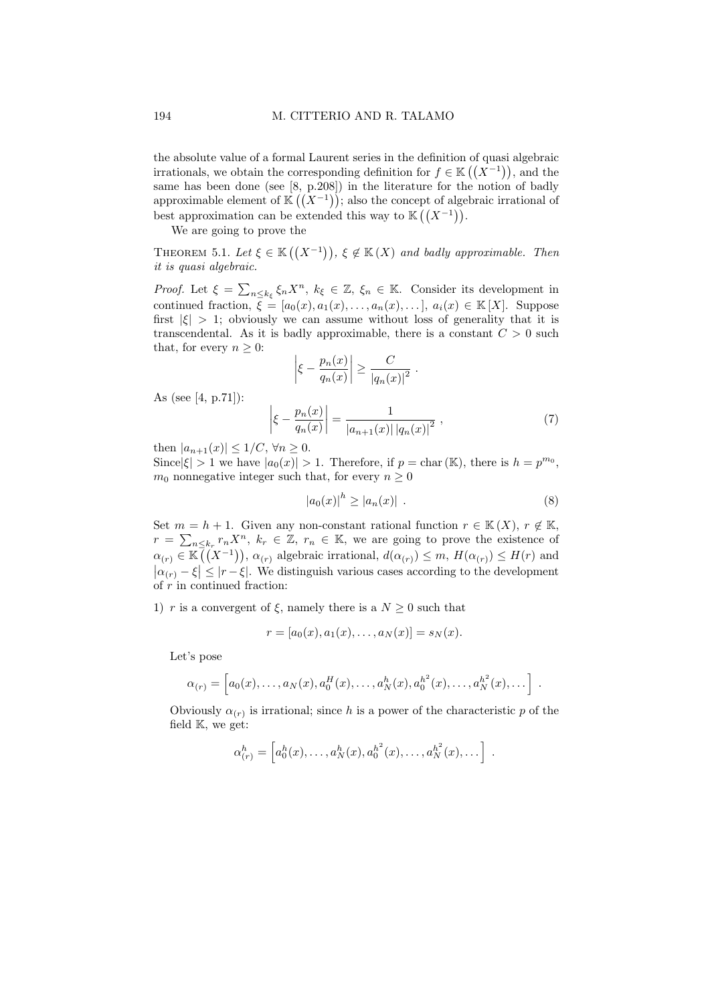the absolute value of a formal Laurent series in the definition of quasi algebraic irrationals, we obtain the corresponding definition for  $f \in K((X^{-1}))$ , and the same has been done (see [8, p.208]) in the literature for the notion of badly approximable element of  $\mathbb{K}((X^{-1}))$ ; also the concept of algebraic irrational of best approximation can be extended this way to  $\mathbb{K}((X^{-1}))$ .

We are going to prove the

THEOREM 5.1. Let  $\xi \in \mathbb{K}((X^{-1}))$ ,  $\xi \notin \mathbb{K}(X)$  and badly approximable. Then it is quasi algebraic.

Proof. Let  $\xi = \sum_{n \leq k_{\xi}} \xi_n X^n$ ,  $k_{\xi} \in \mathbb{Z}$ ,  $\xi_n \in \mathbb{K}$ . Consider its development in continued fraction,  $\overline{\xi} = [a_0(x), a_1(x), \ldots, a_n(x), \ldots], a_i(x) \in \mathbb{K}[X]$ . Suppose first  $|\xi| > 1$ ; obviously we can assume without loss of generality that it is transcendental. As it is badly approximable, there is a constant  $C > 0$  such that, for every  $n \geq 0$ :

$$
\left|\xi - \frac{p_n(x)}{q_n(x)}\right| \ge \frac{C}{|q_n(x)|^2} .
$$

As (see [4, p.71]):

$$
\left| \xi - \frac{p_n(x)}{q_n(x)} \right| = \frac{1}{|a_{n+1}(x)| |q_n(x)|^2}, \tag{7}
$$

then  $|a_{n+1}(x)| \leq 1/C$ ,  $\forall n \geq 0$ .

Since  $|\xi| > 1$  we have  $|a_0(x)| > 1$ . Therefore, if  $p = \text{char}(\mathbb{K})$ , there is  $h = p^{m_0}$ ,  $m_0$  nonnegative integer such that, for every  $n \geq 0$ 

$$
|a_0(x)|^h \ge |a_n(x)| . \tag{8}
$$

Set  $m = h + 1$ . Given any non-constant rational function  $r \in K(X)$ ,  $r \notin K$ ,  $r = \sum_{n \leq k_r} r_n X^n$ ,  $k_r \in \mathbb{Z}$ ,  $r_n \in \mathbb{K}$ , we are going to prove the existence of  $\alpha_{(r)} \in \mathbb{K}(\overline{(X^{-1})})$ ,  $\alpha_{(r)}$  algebraic irrational,  $d(\alpha_{(r)}) \leq m$ ,  $H(\alpha_{(r)}) \leq H(r)$  and  $|\alpha(r)-\xi| \leq |r-\xi|$ . We distinguish various cases according to the development of  $r$  in continued fraction:

1) r is a convergent of  $\xi$ , namely there is a  $N \geq 0$  such that

$$
r = [a_0(x), a_1(x), \dots, a_N(x)] = s_N(x).
$$

Let's pose

$$
\alpha_{(r)} = \left[ a_0(x), \ldots, a_N(x), a_0^H(x), \ldots, a_N^h(x), a_0^{h^2}(x), \ldots, a_N^{h^2}(x), \ldots \right] .
$$

Obviously  $\alpha_{(r)}$  is irrational; since h is a power of the characteristic p of the field K, we get:

$$
\alpha_{(r)}^h = \left[ a_0^h(x), \ldots, a_N^h(x), a_0^{h^2}(x), \ldots, a_N^{h^2}(x), \ldots \right] \ .
$$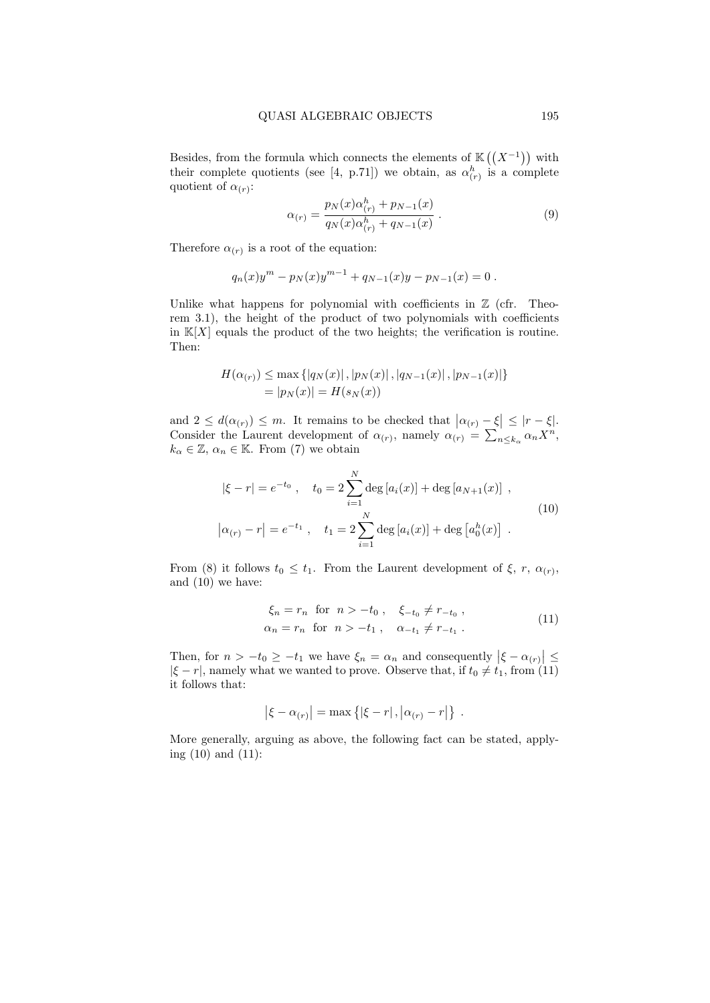Besides, from the formula which connects the elements of  $\mathbb{K}((X^{-1}))$  with their complete quotients (see [4, p.71]) we obtain, as  $\alpha_{(r)}^h$  is a complete quotient of  $\alpha(r)$ :

$$
\alpha_{(r)} = \frac{p_N(x)\alpha_{(r)}^h + p_{N-1}(x)}{q_N(x)\alpha_{(r)}^h + q_{N-1}(x)}.
$$
\n(9)

Therefore  $\alpha_{(r)}$  is a root of the equation:

$$
q_n(x)y^m - p_N(x)y^{m-1} + q_{N-1}(x)y - p_{N-1}(x) = 0.
$$

Unlike what happens for polynomial with coefficients in  $\mathbb Z$  (cfr. Theorem 3.1), the height of the product of two polynomials with coefficients in  $K[X]$  equals the product of the two heights; the verification is routine. Then:

$$
H(\alpha_{(r)}) \le \max \{ |q_N(x)|, |p_N(x)|, |q_{N-1}(x)|, |p_{N-1}(x)| \}
$$
  
=  $|p_N(x)| = H(s_N(x))$ 

and  $2 \leq d(\alpha_{(r)}) \leq m$ . It remains to be checked that  $|\alpha_{(r)} - \xi| \leq |r - \xi|$ . Consider the Laurent development of  $\alpha(r)$ , namely  $\alpha(r) = \sum_{n \leq k_\alpha} \alpha_n X^n$ ,  $k_{\alpha} \in \mathbb{Z}, \, \alpha_n \in \mathbb{K}$ . From (7) we obtain

$$
|\xi - r| = e^{-t_0}, \quad t_0 = 2 \sum_{i=1}^{N} \deg [a_i(x)] + \deg [a_{N+1}(x)],
$$
  

$$
|\alpha_{(r)} - r| = e^{-t_1}, \quad t_1 = 2 \sum_{i=1}^{N} \deg [a_i(x)] + \deg [a_0^h(x)].
$$
 (10)

From (8) it follows  $t_0 \leq t_1$ . From the Laurent development of  $\xi$ ,  $r$ ,  $\alpha$ <sub>(r)</sub>, and (10) we have:

$$
\xi_n = r_n \text{ for } n > -t_0, \quad \xi_{-t_0} \neq r_{-t_0},
$$
  
\n
$$
\alpha_n = r_n \text{ for } n > -t_1, \quad \alpha_{-t_1} \neq r_{-t_1}.
$$
\n(11)

Then, for  $n > -t_0 \geq -t_1$  we have  $\xi_n = \alpha_n$  and consequently  $|\xi - \alpha_{(r)}| \leq$  $|\xi - r|$ , namely what we wanted to prove. Observe that, if  $t_0 \neq t_1$ , from (11) it follows that:

$$
|\xi - \alpha_{(r)}| = \max \left\{ |\xi - r|, |\alpha_{(r)} - r| \right\}.
$$

More generally, arguing as above, the following fact can be stated, applying (10) and (11):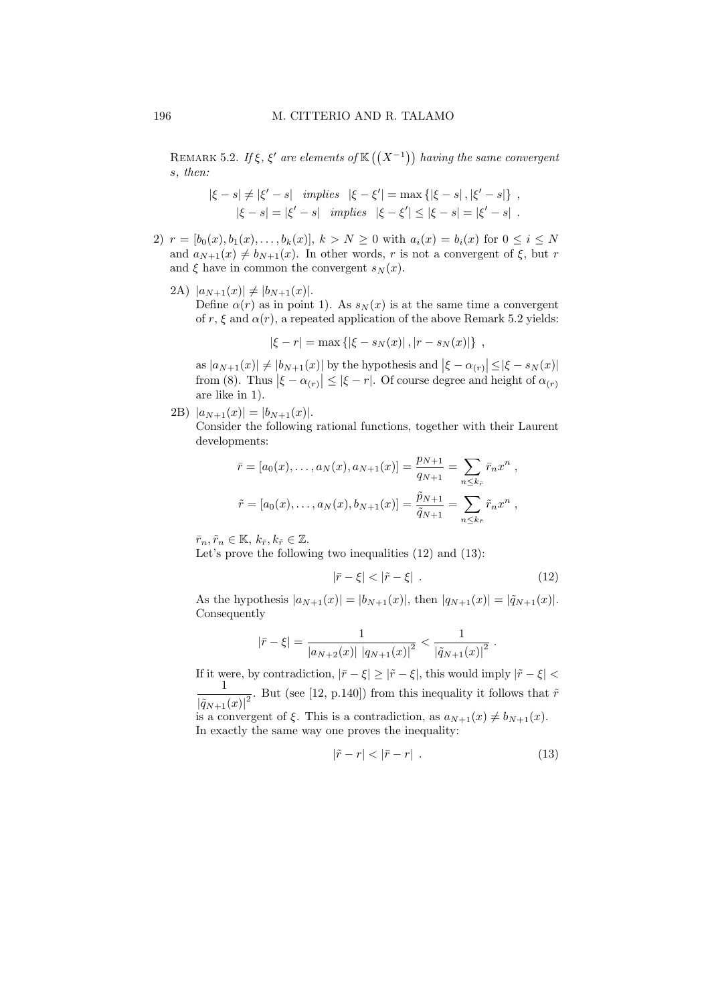REMARK 5.2. If  $\xi$ ,  $\xi'$  are elements of  $\mathbb{K}((X^{-1}))$  having the same convergent s, then:

$$
|\xi - s| \neq |\xi' - s| \quad implies \quad |\xi - \xi'| = \max \{ |\xi - s|, |\xi' - s| \} ,
$$
  

$$
|\xi - s| = |\xi' - s| \quad implies \quad |\xi - \xi'| \leq |\xi - s| = |\xi' - s| .
$$

- 2)  $r = [b_0(x), b_1(x), \ldots, b_k(x)], k > N \geq 0$  with  $a_i(x) = b_i(x)$  for  $0 \leq i \leq N$ and  $a_{N+1}(x) \neq b_{N+1}(x)$ . In other words, r is not a convergent of  $\xi$ , but r and  $\xi$  have in common the convergent  $s_N(x)$ .
	- 2A)  $|a_{N+1}(x)| \neq |b_{N+1}(x)|$ . Define  $\alpha(r)$  as in point 1). As  $s_N(x)$  is at the same time a convergent of r,  $\xi$  and  $\alpha(r)$ , a repeated application of the above Remark 5.2 yields:

$$
|\xi - r| = \max\{|\xi - s_N(x)|, |r - s_N(x)|\},
$$

as  $|a_{N+1}(x)| \neq |b_{N+1}(x)|$  by the hypothesis and  $|\xi - \alpha_{(r)}| \leq |\xi - s_N(x)|$ from (8). Thus  $|\xi - \alpha_{(r)}| \leq |\xi - r|$ . Of course degree and height of  $\alpha_{(r)}$ are like in 1).

2B)  $|a_{N+1}(x)| = |b_{N+1}(x)|$ .

Consider the following rational functions, together with their Laurent developments:

$$
\bar{r} = [a_0(x), \dots, a_N(x), a_{N+1}(x)] = \frac{p_{N+1}}{q_{N+1}} = \sum_{n \leq k_{\bar{r}}} \bar{r}_n x^n ,
$$
  

$$
\tilde{r} = [a_0(x), \dots, a_N(x), b_{N+1}(x)] = \frac{\tilde{p}_{N+1}}{\tilde{q}_{N+1}} = \sum_{n \leq k_{\bar{r}}} \tilde{r}_n x^n ,
$$

 $\bar{r}_n, \tilde{r}_n \in \mathbb{K}, k_{\bar{r}}, k_{\tilde{r}} \in \mathbb{Z}.$ 

Let's prove the following two inequalities (12) and (13):

$$
|\bar{r} - \xi| < |\tilde{r} - \xi| \tag{12}
$$

As the hypothesis  $|a_{N+1}(x)| = |b_{N+1}(x)|$ , then  $|q_{N+1}(x)| = |\tilde{q}_{N+1}(x)|$ . Consequently

$$
|\bar{r} - \xi| = \frac{1}{|a_{N+2}(x)| |a_{N+1}(x)|^2} < \frac{1}{|\tilde{q}_{N+1}(x)|^2}.
$$

If it were, by contradiction,  $|\bar{r} - \xi| \ge |\tilde{r} - \xi|$ , this would imply  $|\tilde{r} - \xi|$ 1  $\frac{1}{|\tilde{q}_{N+1}(x)|^2}$ . But (see [12, p.140]) from this inequality it follows that  $\tilde{r}$ is a convergent of  $\xi$ . This is a contradiction, as  $a_{N+1}(x) \neq b_{N+1}(x)$ . In exactly the same way one proves the inequality:

 $|\tilde{r} - r| < |\bar{r} - r|$  . (13)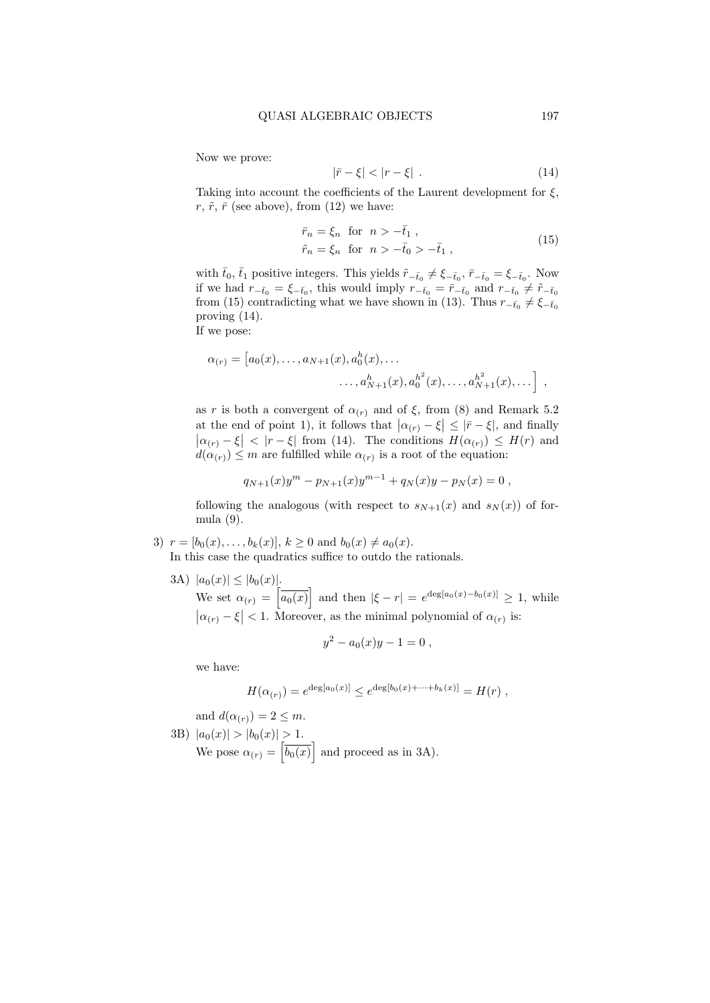Now we prove:

$$
|\bar{r} - \xi| < |r - \xi| \tag{14}
$$

Taking into account the coefficients of the Laurent development for  $\xi$ ,  $r, \tilde{r}, \bar{r}$  (see above), from (12) we have:

$$
\begin{aligned}\n\bar{r}_n &= \xi_n \quad \text{for} \quad n > -\bar{t}_1 \;, \\
\tilde{r}_n &= \xi_n \quad \text{for} \quad n > -\bar{t}_0 > -\bar{t}_1 \;, \n\end{aligned} \tag{15}
$$

with  $\bar{t}_0$ ,  $\bar{t}_1$  positive integers. This yields  $\tilde{r}_{-\bar{t}_0} \neq \xi_{-\bar{t}_0}$ ,  $\bar{r}_{-\bar{t}_0} = \xi_{-\bar{t}_0}$ . Now if we had  $r_{-\bar{t}_0} = \xi_{-\bar{t}_0}$ , this would imply  $r_{-\bar{t}_0} = \bar{r}_{-\bar{t}_0}$  and  $r_{-\bar{t}_0} \neq \tilde{r}_{-\bar{t}_0}$ from (15) contradicting what we have shown in (13). Thus  $r_{-\bar{t}_0} \neq \xi_{-\bar{t}_0}$ proving (14).

If we pose:

$$
\alpha_{(r)} = [a_0(x), \dots, a_{N+1}(x), a_0^h(x), \dots \dots, a_{N+1}^h(x), a_0^{h^2}(x), \dots, a_{N+1}^{h^2}(x), \dots],
$$

as r is both a convergent of  $\alpha_{(r)}$  and of  $\xi$ , from (8) and Remark 5.2 at the end of point 1), it follows that  $|\alpha_{(r)} - \xi| \leq |\bar{r} - \xi|$ , and finally  $\left|\alpha_{(r)} - \xi\right| < \left|r - \xi\right|$  from (14). The conditions  $H(\alpha_{(r)}) \leq H(r)$  and  $d(\alpha_{(r)}) \leq m$  are fulfilled while  $\alpha_{(r)}$  is a root of the equation:

$$
q_{N+1}(x)y^m - p_{N+1}(x)y^{m-1} + q_N(x)y - p_N(x) = 0,
$$

following the analogous (with respect to  $s_{N+1}(x)$  and  $s_N(x)$ ) of formula (9).

3) 
$$
r = [b_0(x), \ldots, b_k(x)], k \ge 0
$$
 and  $b_0(x) \ne a_0(x)$ .  
In this case the quadratics suffice to outdo the rationals.

3A)  $|a_0(x)| \leq |b_0(x)|$ .

We set  $\alpha(r) = \left[\overline{a_0(x)}\right]$  and then  $|\xi - r| = e^{\deg[a_0(x) - b_0(x)]} \geq 1$ , while  $|\alpha_{(r)} - \xi| < 1$ . Moreover, as the minimal polynomial of  $\alpha_{(r)}$  is:

$$
y^2 - a_0(x)y - 1 = 0,
$$

we have:

$$
H(\alpha_{(r)}) = e^{\deg[a_0(x)]} \le e^{\deg[b_0(x) + \dots + b_k(x)]} = H(r) ,
$$

and  $d(\alpha_{(r)}) = 2 \leq m$ .

3B)  $|a_0(x)| > |b_0(x)| > 1.$ We pose  $\alpha_{(r)} = \left[\overline{b_0(x)}\right]$  and proceed as in 3A).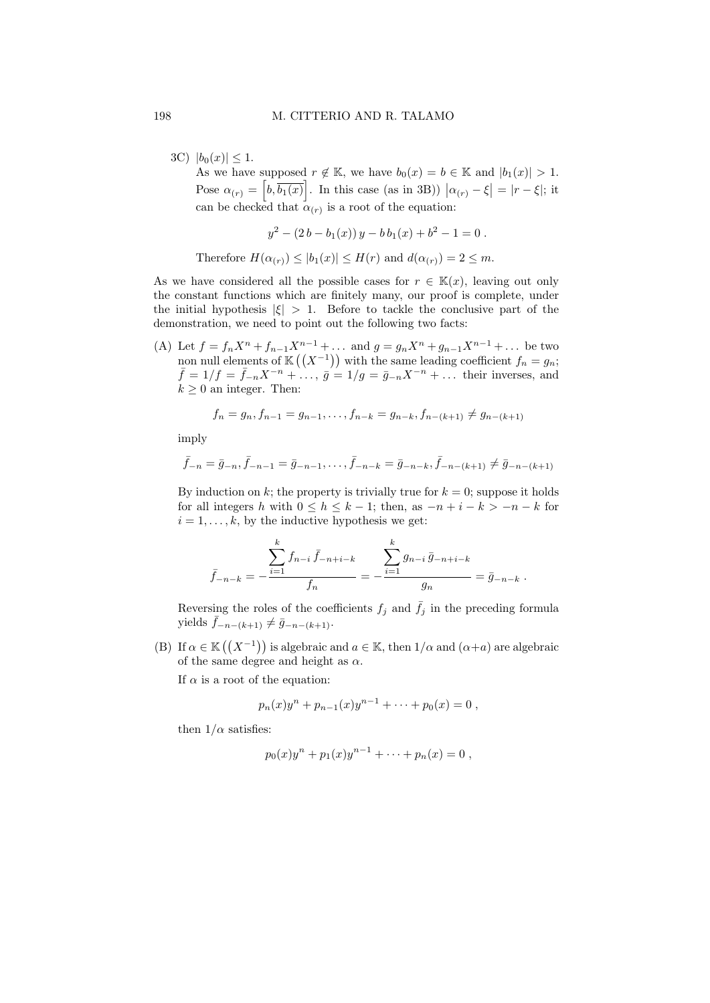3C)  $|b_0(x)| \leq 1$ . As we have supposed  $r \notin \mathbb{K}$ , we have  $b_0(x) = b \in \mathbb{K}$  and  $|b_1(x)| > 1$ . Pose  $\alpha_{(r)} = \left[ b, \overline{b_1(x)} \right]$ . In this case (as in 3B))  $|\alpha_{(r)} - \xi| = |r - \xi|$ ; it can be checked that  $\alpha(r)$  is a root of the equation:

$$
y^2 - (2b - b_1(x))y - bb_1(x) + b^2 - 1 = 0.
$$

Therefore  $H(\alpha_{(r)}) \leq |b_1(x)| \leq H(r)$  and  $d(\alpha_{(r)}) = 2 \leq m$ .

As we have considered all the possible cases for  $r \in \mathbb{K}(x)$ , leaving out only the constant functions which are finitely many, our proof is complete, under the initial hypothesis  $|\xi| > 1$ . Before to tackle the conclusive part of the demonstration, we need to point out the following two facts:

(A) Let  $f = f_n X^n + f_{n-1} X^{n-1} + \dots$  and  $g = g_n X^n + g_{n-1} X^{n-1} + \dots$  be two non null elements of  $\mathbb{K}((X^{-1}))$  with the same leading coefficient  $f_n = g_n$ ;  $\bar{f} = 1/f = \bar{f}_{-n}X^{-n} + \dots$ ,  $\bar{g} = 1/g = \bar{g}_{-n}X^{-n} + \dots$  their inverses, and  $k \geq 0$  an integer. Then:

$$
f_n = g_n, f_{n-1} = g_{n-1}, \dots, f_{n-k} = g_{n-k}, f_{n-(k+1)} \neq g_{n-(k+1)}
$$

imply

$$
\bar{f}_{-n} = \bar{g}_{-n}, \bar{f}_{-n-1} = \bar{g}_{-n-1}, \ldots, \bar{f}_{-n-k} = \bar{g}_{-n-k}, \bar{f}_{-n-(k+1)} \neq \bar{g}_{-n-(k+1)}
$$

By induction on k; the property is trivially true for  $k = 0$ ; suppose it holds for all integers h with  $0 \leq h \leq k-1$ ; then, as  $-n+i-k \geq -n-k$  for  $i = 1, \ldots, k$ , by the inductive hypothesis we get:

$$
\bar{f}_{-n-k} = -\frac{\sum_{i=1}^{k} f_{n-i} \bar{f}_{-n+i-k}}{f_n} = -\frac{\sum_{i=1}^{k} g_{n-i} \bar{g}_{-n+i-k}}{g_n} = \bar{g}_{-n-k}.
$$

Reversing the roles of the coefficients  $f_j$  and  $\bar{f}_j$  in the preceding formula yields  $\bar{f}_{-n-(k+1)} \neq \bar{g}_{-n-(k+1)}$ .

(B) If  $\alpha \in K((X^{-1}))$  is algebraic and  $a \in K$ , then  $1/\alpha$  and  $(\alpha+a)$  are algebraic of the same degree and height as  $\alpha$ .

If  $\alpha$  is a root of the equation:

$$
p_n(x)y^n + p_{n-1}(x)y^{n-1} + \cdots + p_0(x) = 0,
$$

then  $1/\alpha$  satisfies:

$$
p_0(x)y^n + p_1(x)y^{n-1} + \cdots + p_n(x) = 0,
$$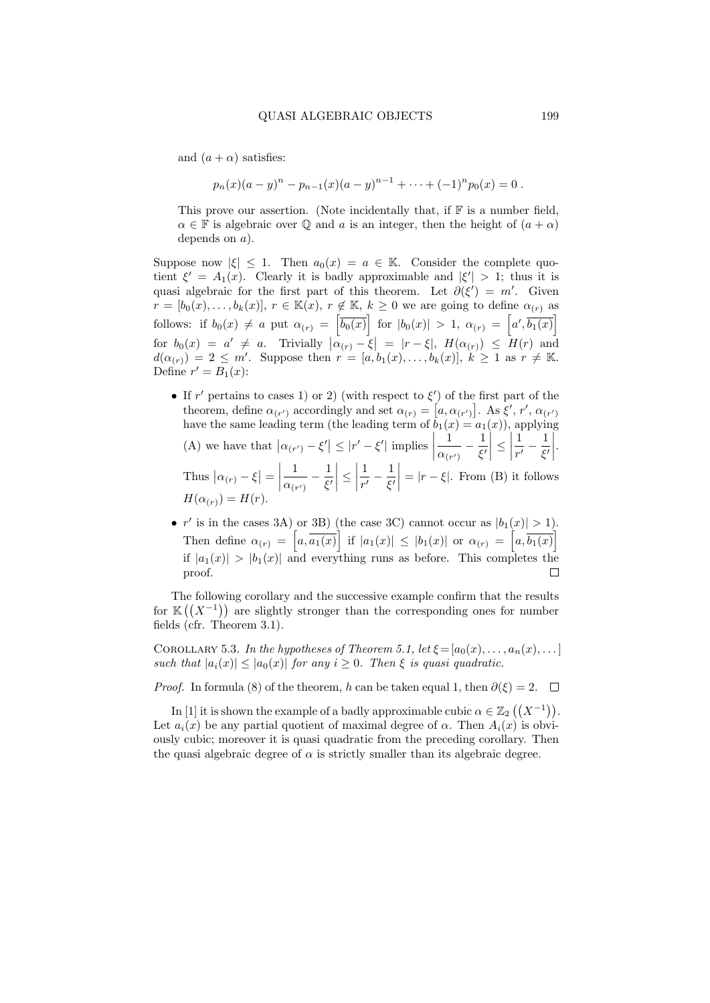and  $(a + \alpha)$  satisfies:

$$
p_n(x)(a-y)^n - p_{n-1}(x)(a-y)^{n-1} + \cdots + (-1)^n p_0(x) = 0.
$$

This prove our assertion. (Note incidentally that, if  $\mathbb F$  is a number field,  $\alpha \in \mathbb{F}$  is algebraic over  $\mathbb{Q}$  and a is an integer, then the height of  $(a + \alpha)$ depends on a).

Suppose now  $|\xi| \leq 1$ . Then  $a_0(x) = a \in \mathbb{K}$ . Consider the complete quotient  $\xi' = A_1(x)$ . Clearly it is badly approximable and  $|\xi'| > 1$ ; thus it is quasi algebraic for the first part of this theorem. Let  $\partial(\xi') = m'$ . Given  $r = [b_0(x), \ldots, b_k(x)], r \in \mathbb{K}(x), r \notin \mathbb{K}, k \geq 0$  we are going to define  $\alpha_{(r)}$  as follows: if  $b_0(x) \neq a$  put  $\alpha_{(r)} = \left[\overline{b_0(x)}\right]$  for  $|b_0(x)| > 1$ ,  $\alpha_{(r)} = \left[a', \overline{b_1(x)}\right]$ for  $b_0(x) = a' \neq a$ . Trivially  $|\alpha_{(r)} - \xi| = |r - \xi|$ ,  $H(\alpha_{(r)}) \leq H(r)$  and  $d(\alpha_{(r)}) = 2 \leq m'$ . Suppose then  $r = [a, b_1(x), \ldots, b_k(x)], k \geq 1$  as  $r \neq \mathbb{K}$ . Define  $r' = B_1(x)$ :

- If r' pertains to cases 1) or 2) (with respect to  $\xi'$ ) of the first part of the theorem, define  $\alpha_{(r')}$  accordingly and set  $\alpha_{(r)} = [a, \alpha_{(r')}]$ . As  $\xi', r', \alpha_{(r')}$ have the same leading term (the leading term of  $\vec{b}_1(x) = a_1(x)$ ), applying (A) we have that  $|\alpha_{(r')} - \xi'| \leq |r' - \xi'|$  implies  $|\alpha_{(r')} - \zeta'| = |r - \zeta'|$ 1  $\alpha_{(r')}$  $-\frac{1}{\epsilon}$  $\xi'$  $\vert \leq \vert$ 1  $\frac{1}{r'}-\frac{1}{\xi'}$  $\xi'$    . Thus  $|\alpha(r) - \xi| =$ 1  $\alpha_{(r')}$  $-\frac{1}{6}$  $\xi'$   $\leq$ 1  $\frac{1}{r'}-\frac{1}{\xi'}$  $\xi'$  $= |r - \xi|$ . From (B) it follows  $H(\alpha_{(r)}) = H(r).$
- r' is in the cases 3A) or 3B) (the case 3C) cannot occur as  $|b_1(x)| > 1$ ). Then define  $\alpha(r) = \left[a, \overline{a_1(x)}\right]$  if  $|a_1(x)| \leq |b_1(x)|$  or  $\alpha(r) = \left[a, \overline{b_1(x)}\right]$ if  $|a_1(x)| > |b_1(x)|$  and everything runs as before. This completes the proof.

The following corollary and the successive example confirm that the results for  $\mathbb{K}((X^{-1}))$  are slightly stronger than the corresponding ones for number fields (cfr. Theorem 3.1).

COROLLARY 5.3. In the hypotheses of Theorem 5.1, let  $\xi = [a_0(x), \ldots, a_n(x), \ldots]$ such that  $|a_i(x)| \leq |a_0(x)|$  for any  $i \geq 0$ . Then  $\xi$  is quasi quadratic.

*Proof.* In formula (8) of the theorem, h can be taken equal 1, then  $\partial(\xi) = 2$ .  $\Box$ 

In [1] it is shown the example of a badly approximable cubic  $\alpha \in \mathbb{Z}_2((X^{-1}))$ . Let  $a_i(x)$  be any partial quotient of maximal degree of  $\alpha$ . Then  $A_i(x)$  is obviously cubic; moreover it is quasi quadratic from the preceding corollary. Then the quasi algebraic degree of  $\alpha$  is strictly smaller than its algebraic degree.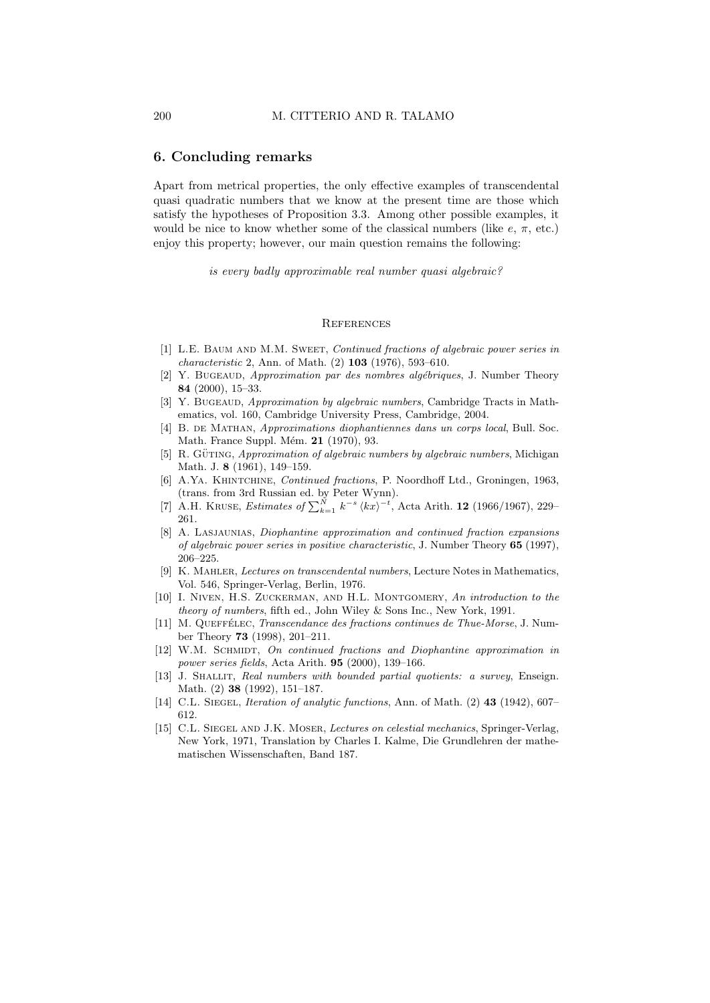### 6. Concluding remarks

Apart from metrical properties, the only effective examples of transcendental quasi quadratic numbers that we know at the present time are those which satisfy the hypotheses of Proposition 3.3. Among other possible examples, it would be nice to know whether some of the classical numbers (like  $e$ ,  $\pi$ , etc.) enjoy this property; however, our main question remains the following:

is every badly approximable real number quasi algebraic?

#### **REFERENCES**

- [1] L.E. Baum and M.M. Sweet, Continued fractions of algebraic power series in characteristic 2, Ann. of Math. (2) 103 (1976), 593–610.
- [2] Y. BUGEAUD, *Approximation par des nombres algébriques*, J. Number Theory 84 (2000), 15–33.
- [3] Y. Bugeaud, Approximation by algebraic numbers, Cambridge Tracts in Mathematics, vol. 160, Cambridge University Press, Cambridge, 2004.
- [4] B. DE MATHAN, Approximations diophantiennes dans un corps local, Bull. Soc. Math. France Suppl. Mém. 21 (1970), 93.
- [5] R. GÜTING, *Approximation of algebraic numbers by algebraic numbers*, Michigan Math. J. 8 (1961), 149–159.
- [6] A.YA. KHINTCHINE, *Continued fractions*, P. Noordhoff Ltd., Groningen, 1963, (trans. from 3rd Russian ed. by Peter Wynn).
- [7] A.H. KRUSE, *Estimates of*  $\sum_{k=1}^{N} k^{-s} \langle kx \rangle^{-t}$ , Acta Arith. **12** (1966/1967), 229-261.
- [8] A. Lasjaunias, Diophantine approximation and continued fraction expansions of algebraic power series in positive characteristic, J. Number Theory 65 (1997), 206–225.
- [9] K. Mahler, Lectures on transcendental numbers, Lecture Notes in Mathematics, Vol. 546, Springer-Verlag, Berlin, 1976.
- [10] I. Niven, H.S. Zuckerman, and H.L. Montgomery, An introduction to the theory of numbers, fifth ed., John Wiley & Sons Inc., New York, 1991.
- [11] M. QUEFFÉLEC, *Transcendance des fractions continues de Thue-Morse*, J. Number Theory 73 (1998), 201–211.
- [12] W.M. SCHMIDT, On continued fractions and Diophantine approximation in power series fields, Acta Arith. 95 (2000), 139–166.
- [13] J. SHALLIT, Real numbers with bounded partial quotients: a survey, Enseign. Math. (2) 38 (1992), 151–187.
- [14] C.L. SIEGEL, *Iteration of analytic functions*, Ann. of Math. (2) 43 (1942), 607– 612.
- [15] C.L. Siegel and J.K. Moser, Lectures on celestial mechanics, Springer-Verlag, New York, 1971, Translation by Charles I. Kalme, Die Grundlehren der mathematischen Wissenschaften, Band 187.